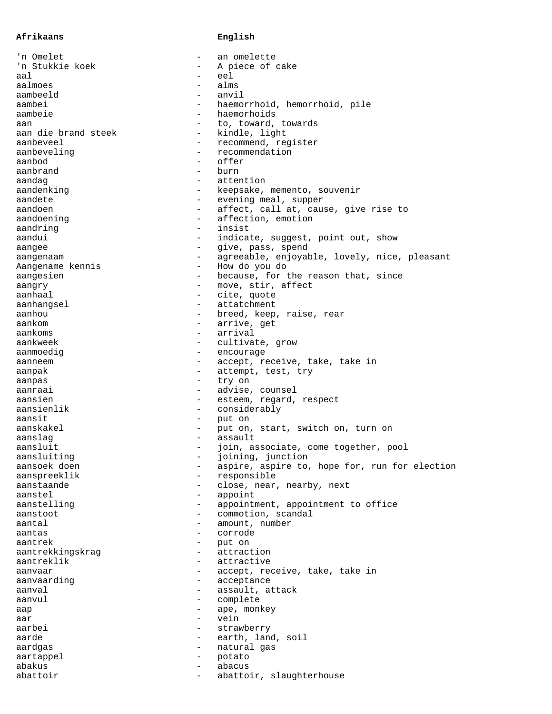## **Afrikaans English**

| 'n Omelet                                               | an omelette                                   |
|---------------------------------------------------------|-----------------------------------------------|
| 'n Stukkie koek                                         | A piece of cake                               |
| aal<br>$\overline{\phantom{0}}$                         | eel                                           |
| aalmoes                                                 | alms                                          |
| aambeeld                                                | anvil                                         |
| aambei                                                  | haemorrhoid, hemorrhoid, pile                 |
| aambeie<br>$\qquad \qquad -$                            | haemorhoids                                   |
| aan<br>$\qquad \qquad -$                                | to, toward, towards                           |
| aan die brand steek<br>$\overline{\phantom{0}}$         | kindle, light                                 |
| aanbeveel<br>$\overline{\phantom{0}}$                   | recommend, register                           |
| aanbeveling<br>$\overline{\phantom{0}}$                 | recommendation                                |
| aanbod<br>$\overline{\phantom{0}}$                      | offer                                         |
| aanbrand<br>$\overline{\phantom{0}}$                    | burn                                          |
| aandaq<br>$\equiv$                                      | attention                                     |
| aandenking<br>$\overline{\phantom{0}}$                  | keepsake, memento, souvenir                   |
| aandete<br>$\overline{\phantom{0}}$                     | evening meal, supper                          |
| aandoen<br>$\overline{\phantom{0}}$                     | affect, call at, cause, give rise to          |
| aandoening                                              | affection, emotion                            |
| aandring<br>$\overline{\phantom{0}}$                    | insist                                        |
| aandui<br>$\qquad \qquad -$                             | indicate, suggest, point out, show            |
| aangee<br>$\qquad \qquad -$                             | give, pass, spend                             |
| aangenaam                                               | agreeable, enjoyable, lovely, nice, pleasant  |
| Aangename kennis<br>$-$                                 | How do you do                                 |
| aanqesien<br>$-$                                        | because, for the reason that, since           |
| aanqry<br>$-$                                           | move, stir, affect                            |
| aanhaal<br>$\overline{\phantom{0}}$                     | cite, quote                                   |
| aanhangsel<br>$\overline{\phantom{0}}$                  | attatchment                                   |
|                                                         |                                               |
| aanhou<br>$\qquad \qquad -$                             | breed, keep, raise, rear                      |
| aankom<br>$\qquad \qquad -$<br>$\overline{\phantom{0}}$ | arrive, get                                   |
| aankoms                                                 | arrival                                       |
| aankweek                                                | cultivate, grow                               |
| aanmoediq<br>$\qquad \qquad -$                          | encourage                                     |
| aanneem<br>$\qquad \qquad -$                            | accept, receive, take, take in                |
| aanpak<br>$\qquad \qquad -$                             | attempt, test, try                            |
| aanpas<br>$\qquad \qquad -$                             | try on                                        |
| aanraai<br>$-$                                          | advise, counsel                               |
| aansien<br>$-$                                          | esteem, regard, respect                       |
| aansienlik<br>$\overline{\phantom{0}}$                  | considerably                                  |
| aansit<br>$\qquad \qquad -$                             | put on                                        |
| aanskakel<br>$\overline{\phantom{0}}$                   | put on, start, switch on, turn on             |
| aanslaq<br>$\qquad \qquad -$                            | assault                                       |
| aansluit<br>$\qquad \qquad -$                           | join, associate, come together, pool          |
| aansluiting                                             | joining, junction                             |
| aansoek doen<br>$\qquad \qquad -$                       | aspire, aspire to, hope for, run for election |
| aanspreeklik<br>$\qquad \qquad -$                       | responsible                                   |
| aanstaande                                              | close, near, nearby, next                     |
| aanstel                                                 | appoint                                       |
| aanstelling                                             | appointment, appointment to office            |
| aanstoot<br>$-$                                         | commotion, scandal                            |
| aantal                                                  | amount, number                                |
| aantas                                                  | corrode                                       |
| aantrek<br>$\overline{\phantom{0}}$                     | put on                                        |
| aantrekkingskrag<br>$\qquad \qquad -$                   | attraction                                    |
| aantreklik<br>$\overline{\phantom{0}}$                  | attractive                                    |
| aanvaar                                                 | accept, receive, take, take in                |
| aanvaarding                                             | acceptance                                    |
| aanval<br>$\qquad \qquad -$                             | assault, attack                               |
| aanvul                                                  | complete                                      |
| aap                                                     | ape, monkey                                   |
| $\overline{\phantom{0}}$<br>aar                         | vein                                          |
| aarbei<br>$-$                                           | strawberry                                    |
| aarde<br>$\qquad \qquad -$                              | earth, land, soil                             |
| aardqas                                                 | natural gas                                   |
| aartappel                                               | potato                                        |
| abakus<br>$\overline{\phantom{0}}$                      | abacus                                        |
| abattoir<br>$-$                                         | abattoir, slaughterhouse                      |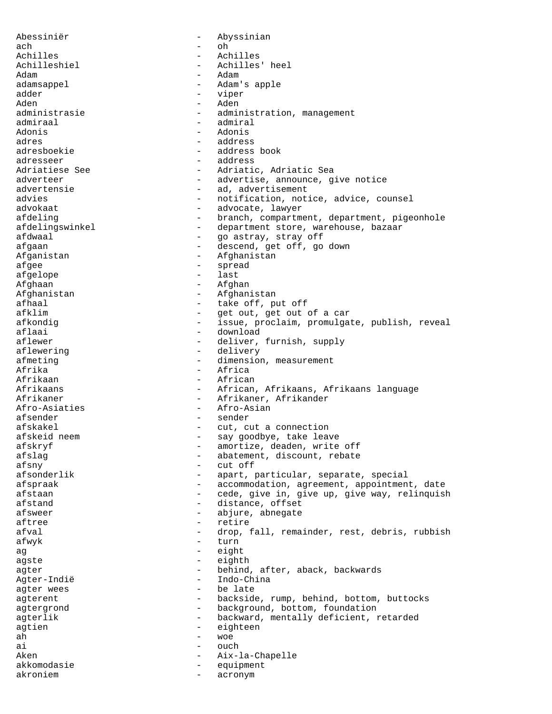Abessiniër - Abyssinian ach - oh Achilles - Achilles Achilleshiel - Achilles' heel Adam - Adam - Adam - Adam - Adam - Adam - Adam - Adam - Adam - Adam - Adam - Adam - Adam - Adam - Adam - Adam - Adam - Adam - Adam - Adam - Adam - Adam - Adam - Adam - Adam - Adam - Adam - Adam - Adam - Adam - Adam - Adam adamsappel - Adam's apple<br>adder - Adam's apple adder - viper Aden - Aden - administration, management admiraal - admiral Adonis - Adonis adres - address adresboekie - address book adresseer - address Adriatiese See - - - Adriatic, Adriatic Sea adverteer - advertise, announce, give notice advertensie  $\qquad \qquad \qquad -$  ad, advertisement advies<br>advokaat - notification, notice, advice, counsel<br>advokaat - advocate lawyer advokaat - advocate, lawyer afdeling extending the state of the branch, compartment, department, pigeonhole afdelingswinkel - department store, warehouse, bazaar afdwaal - go astray, stray off afgaan - descend, get off, go down Afganistan - Afghanistan afgee - spread afgelope - last Afghaan - Afghan Afghanistan - Afghanistan afhaal - take off, put off afklim  $-$  get out, get out of a car<br>afkondig afkondig  $-$  issue, proclaim, promulgate, publish, reveal<br>aflaai  $-$  download aflaai - download - download - download - download - download - download - download - download - deliver. - deliver, furnish, supply aflewering  $\qquad -$  delivery afmeting  $\qquad \qquad -$  dimension, measurement Afrika - Africa Afrikaan - African Afrikaans - African, Afrikaans, Afrikaans language Afrikaner - Afrikaner, Afrikander<br>Afro-Asiaties - Afro-Asian<br>- Afro-Asian Afro-Asiaties afsender en beste beste beste beste beste beste beste beste beste beste beste beste beste beste beste beste b afskakel  $-$  cut, cut a connection afskeid neem en met say goodbye, take leave afskryf - amortize, deaden, write off afslag - abatement, discount, rebate afsny - cut off afsonderlik - apart, particular, separate, special afspraak - accommodation, agreement, appointment, date afstaan - cede, give in, give up, give way, relinquish afstand - distance, offset afsweer - abjure, abnegate aftree - retire afval - drop, fall, remainder, rest, debris, rubbish afwyk - turn ag eight agste - eighth<br>agter - hebind agter - behind, after, aback, backwards<br>Agter-Indië Agter-Indië - Indo-China agter wees  $\qquad -$  be late agterent - backside, rump, behind, bottom, buttocks agtergrond - background, bottom, foundation agterlik - backward, mentally deficient, retarded<br>agtien agtien - eighteen ah - woe ai - ouch Aken - Aix-la-Chapelle akkomodasie - equipment akroniem - acronym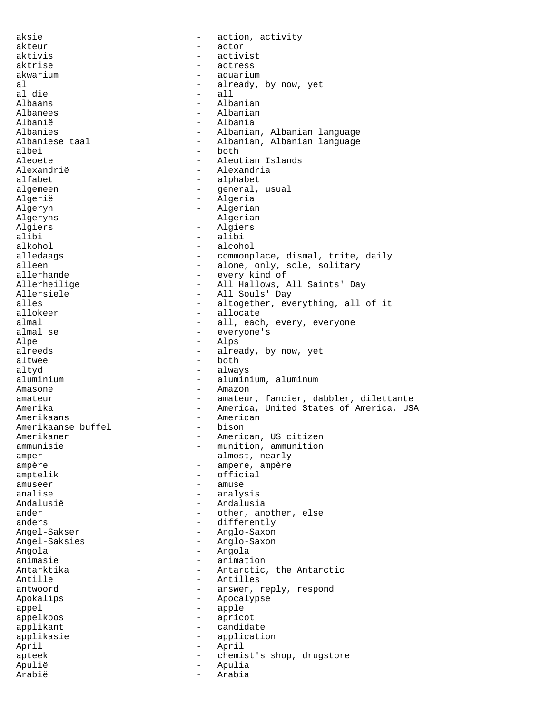aksie  $-$  action, activity akteur – actor – actor<br>aktivis – activis aktivis - activist aktrise - actress akwarium - aquarium - aquarium al - already, by now, yet al die twee die staat van die stadium van die stadium van die stadium van die stadium van die stadium van die s<br>Tallee van die stadium van die stadium van die stadium van die stadium van die stadium van die stadium van die Albaans - Albanian Albanees - Albanian Albanië - Albania Albanies - Albanian, Albanian language<br>Albaniese taal - - Albanian, Albanian language Albaniese taal - Albanian, Albanian language<br>albei - both - both - both Aleoete - Aleutian Islands Alexandrië - Alexandria alfabet - alphabet algemeen - general, usual Algerië - Algeria Algeryn - Algerian Algeryns - Algerian Algiers - Algiers<br>alibi - alibi - alibi alibi - alibi - alibi - alibi - alibi - alibi - alibi - alibi - alibi - alibi - alibi - alibi - alibi - alibi - alibi - alibi - alibi - alibi - alibi - alibi - alibi - alibi - alibi - alibi - alibi - alibi - alibi - alibi alkohol - alcohol - alcohol - alcohol - alcohol - alcohol - alcohol - alcohol - alcohol - alcohol - alcohol alledaags - commonplace, dismal, trite, daily<br>alleen - alone, only. sole. solitary alleen - alone, only, sole, solitary<br>allerhande - every kind of - every kind of Allerheilige - - All Hallows, All Saints' Day Allersiele - All Souls' Day<br>alles - All Souls' Day<br>- altogether, eve alles - altogether, everything, all of it<br>allokeer - allocate - allocate allokeer - allocate almal  $-$  all, each, every, everyone almal se  $-$  everyone's - everyone's<br>- <sup> $\lambda$ lps</sup> Alpe - Alps - Alps - Alps - Alps - Alps - Alps - Alps - Alps - Alps - Alps - Alps - Alps - Alps - Alps - Alps - Alps - Alps - Alps - Alps - Alps - Alps - Alps - Alps - Alps - Alps - Alps - Alps - Alps - Alps - Alps - Alps - already, by now, yet altwee - both altyd - always aluminium - aluminium, aluminum Amasone - Amazon amateur - amateur, fancier, dabbler, dilettante Amerika - America, United States of America, USA Amerikaans - American<br>Amerikaanse buffel - bison - bison Amerikaanse buffel - -Amerikaner - American, US citizen ammunisie  $-$  munition, ammunition amper - almost, nearly ampère  $\overline{\phantom{a}}$  - ampere, ampère amptelik - official amuseer - amuse analise - analysis Andalusië - Andalusia ander - other, another, else anders - differently Angel-Sakser - Anglo-Saxon Angel-Saksies - Anglo-Saxon Angola - Angola animasie - animation Antarktika - Antarctic, the Antarctic Antille - Antilles antwoord **antwoord** - answer, reply, respond Apokalips - Apocalypse appel - apple - apple appelkoos - apricot - candidate applikasie - application April - April - April apteek - chemist's shop, drugstore Apulië - Apulia Arabië - Arabia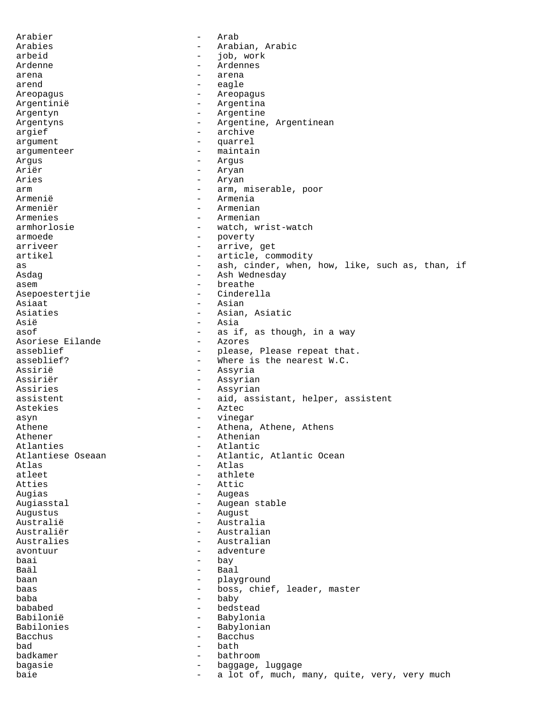Arabier - Arab Arabies - Arabian, Arabic arbeid - job, work Ardenne - Ardennes arena  $-$  arena arend - eagle Areopagus - Areopagus Argentinië  $-$  Argentina Argentyn - Argentine Argentyns - Argentine, Argentinean<br>argief - archive - archive argument - quarrel argumenteer - maintain Argus - Argus Ariër - Aryan Aries - Aryan arm  $-$  arm, miserable, poor Armenië - Armenia<br>Armeniër - Armenia Armeniër - Armenian<br>Armenies - - Armenian<br>- Armenian Armenies - Armenian armhorlosie - watch, wrist-watch<br>armoede - poverty armoede - poverty - arrive, get artikel - article, commodity as as than, the controller ash, cinder, when, how, like, such as, than, if Asdag - Ash Wednesday asem - breathe Asepoestertjie Asiaat - Asian - Asian<br>Asiaties - Asian, - Asian, Asiaties - Asian, Asiatic<br>Asië - Asia Asië - Asia<br>asof - asif - as if, as though, in a way<br>- Azores Asoriese Eilande<br>asseblief asseblief  $-$  please, Please repeat that.<br>asseblief? - The Masseblief of the mearest W.C. - Where is the nearest W.C. Assirië - Assyria<br>Assiriër - Assyria - Assyrian Assiries - Assyrian assistent - aid, assistant, helper, assistent Astekies - Aztec<br>asyn - Aztec<br>- vinequency asyn - vinegar Athene **Athene**, Athene, Athene, Athens Athener - Athenian<br>Atlanties - Atlantic Atlanties - Atlantic<br>Atlantiese Oseaan - Atlantic Atlantiese Oseaan - Atlantic, Atlantic Ocean<br>Atlas - Atlas Atlas - Atlas - Atlas - Atlas - Atlas - Atlas - Atlas - Atlas - Atlas - Atlas - Atlas - Atlas - Atlas - Atlas - Atlas - Atlas - Atlas - Atlas - Atlas - Atlas - Atlas - Atlas - Atlas - Atlas - Atlas - Atlas - Atlas - Atlas - athlete Atties - Attic Augias - Augeas - Augean stable Augustus - August Australië  $-$  Australia Australiër - Australian Australies - Australian avontuur – adventure – adventure – adventure – adventure – adventure – adventure – adventure – adventure – adventure – adventure – adventure – adventure – adventure – adventure – adventure – adventure – adventure – adventu baai - bay Baäl - Baal baan - playground - boss, chief, leader, master baba - baby bababed - bedstead Babilonië - Babylonia<br>Babilonies - - Babylonia - Babylonian Bacchus - Bacchus bad - bath badkamer - bathroom - bathroom baqasie bagasie  $-$  baggage, luggage baie  $-$  a lot of, much, many, quite, very, very much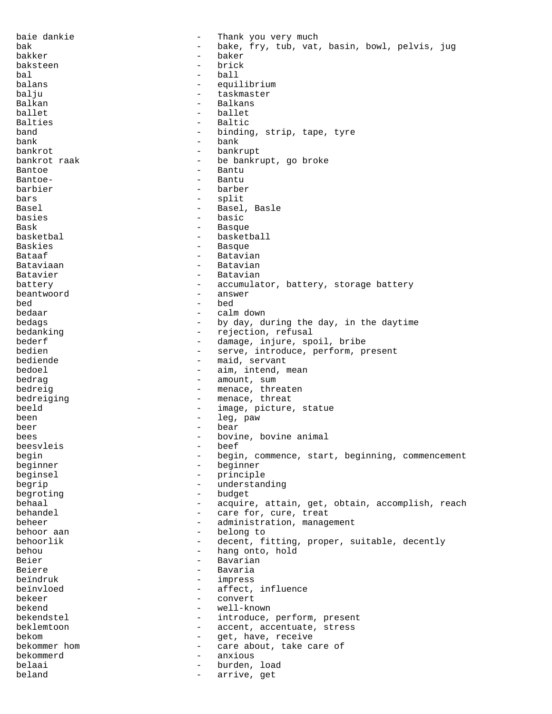baie dankie - Thank you very much bak - bake, fry, tub, vat, basin, bowl, pelvis, jug bakker - baker baksteen - brick bal - ball balans - equilibrium<br>
baliu balju - taskmaster<br>Balkan - taskmaster<br>- Balkans Balkan - Balkans ballet - ballet Balties - Baltic band  $\qquad \qquad -$  binding, strip, tape, tyre hank bank - bank bankrot - bankrupt bankrot raak  $-$  be bankrupt, go broke Bantoe - Bantu Bantoe- - - - - - - - - - - - - - Bantu barbier - barber bars - split Basel - Basel, Basle basies - basic Bask - Basque - Basque - Basque - Basque - Basque - Basque - Basque - Basque - Basque - Basque - Basque - Basque - Basque - Basque - Basque - Basque - Basque - Basque - Basque - Basque - Basque - Basque - Basque - Basque basketbal - basketball Baskies - Basque Bataaf - Batavian Bataviaan - Batavian Batavier - Batavian battery **-** accumulator, battery, storage battery beantwoord - answer bed - bed bedaar - calm down bedags  $-$  by day, during the day, in the daytime<br>bedanking  $-$  rejection, refusal bedanking  $\begin{array}{ccc} \text{beadanding} & - & \text{rejection, refusal} \\ \text{bederf} & - & \text{damage, iniure, so} \end{array}$ bederf - damage, injure, spoil, bribe<br>hedien - serve introduce perform produce - serve, introduce, perform, present bediende  $-$  maid, servant bedoel - aim, intend, mean bedrag  $-$  amount, sum bedreig  $-$  menace, threaten bedreiging  $-$  menace, threat beeld - image, picture, statue been - leg, paw beer - bear - bear bees - bovine, bovine animal<br>beesvleis - beef - beef beesvleis begin - begin, commence, start, beginning, commencement beginner - beginner beginsel - principle<br>begrin begrip  $-$  understanding begroting  $-$  budget behaal - acquire, attain, get, obtain, accomplish, reach behandel  $\qquad \qquad -$  care for, cure, treat beheer - administration, management behoor aan  $-$  belong to behoorlik - decent, fitting, proper, suitable, decently behou - hang onto, hold<br>Reier - Rayarian Beier - Bavarian<br>Beiere - - Bavarian Beiere - Bavaria<br>beindruk - Bavaria beïndruk - impress - affect, influence<br>- convert bekeer - convert<br>hekend - well-know bekend - well-known bekendstel - introduce, perform, present beklemtoon - accent, accentuate, stress bekom  $-$  get, have, receive bekommer hom  $\sim$  - care about, take care of bekommerd - anxious belaai - burden, load beland  $-$  arrive, get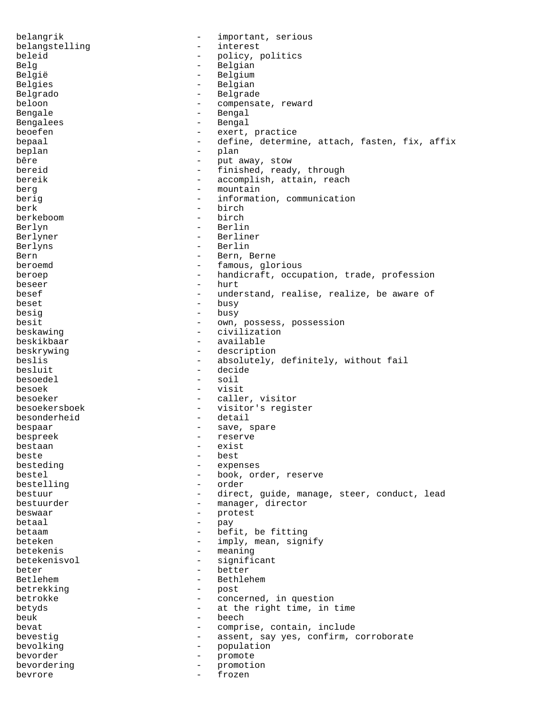belangrik - important, serious belangstelling - interest<br>
heleid - policy r beleid - policy, politics Belg - Belgian - Belgian België - Belgium Belgies - Belgian<br>Belgrado - Belgrado - Belgrado Belgrado - Belgrade beloon - compensate, reward Bengale - Bengal Bengalees - Bengal beoefen - exert, practice bepaal  $-$  define, determine, attach, fasten, fix, affix beplan - plan bêre  $-$  put away, stow bereid  $\qquad \qquad -$  finished, ready, through bereik  $\qquad \qquad -$  accomplish, attain, reach bereik - accomplish, attain, reach berg - - accomplish, attain, reach berg - mountain berig  $\qquad \qquad - \qquad \text{information, communication}$ berk - birch - birch - birch - birch - birch - birch - birch - birch - birch - birch - birch - birch - birch berkeboom Berlyn - Berlin Berlyner - Berliner Berlyns - Berlin Bern - Bern, Berne beroemd  $-$  famous, glorious beroep extending the number of the handicraft, occupation, trade, profession beseer - hurt besef  $\qquad \qquad -$  understand, realise, realize, be aware of beset - busy besig besign that the busy besign of the busy besign of the busy of the busy  $$ besit - own, possess, possession beskawing - civilization beskikbaar - available<br>beskrywing - descripti - description beslis  $-$  absolutely, definitely, without fail besluit - decide besoedel - soil besoek - visit besoeker - caller, visitor<br>besoekersboek - visitor's regist besoekersboek - visitor's register besonderheid - detail bespaar - save, spare<br>hespreek - reserve bespreek - reserve<br>hestaan - reserve bestaan - exist<br>beste - exist<br>- best beste beste bestehet beste bestehet bestehet bestehet bestehet bestehet bestehet bestehet bestehet bestehet beste<br>Die bestehet bestehet bestehet bestehet bestehende bestehende bestehende bestehende bestehende bestehende be besteding  $-$  expenses bestel  $-$  book, order, reserve bestelling - order bestuur - direct, guide, manage, steer, conduct, lead bestuurder - manager, director beswaar - protest betaal - pay betaam - befit, be fitting beteken - imply, mean, signify betekenis - meaning betekenisvol - significant<br>heter - hetter beter - better<br>Betlehem - Bethlel Betlehem - Bethlehem - Bethlehem - Bethlehem - Bethlehem - Bethlehem - Bethlehem - Bethlehem - Bethlehem - Bethlehem - Bethlehem - Bethlehem - Bethlehem - Bethlehem - Bethlehem - Bethlehem - Bethlehem - Bethlehem - Bethleh betrekking – postal en van de versking – postal en van de van de van de van de van de van de van de van de van de van de van de van de van de van de van de van de van de van de van de van de van de van de van de van de van betrokke - concerned, in question betyds - at the right time, in time beuk - beech - beech - beech - beech - compri - comprise, contain, include bevestig  $-$  assent, say yes, confirm, corroborate bevolking - population bevorder - promote bevordering - promotion<br>bevrore - frozan bevrore - frozen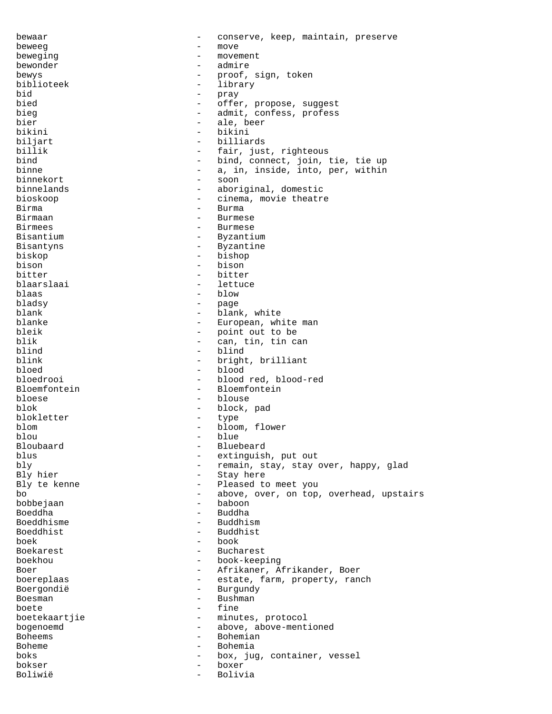bewaar - conserve, keep, maintain, preserve beweeg entry the move that the move beweging  $-$  movement bewonder - admire bewys - proof, sign, token biblioteek - library<br>bid - prav bid - pray bied - offer, propose, suggest<br>bieg - offer, propose, suggest<br>- admit.confess.profess - admit, confess, profess bier - ale, beer<br>hikini - hikini - hikini bikini - bikini biljart - billiards<br>billik - fair ius fair, just, righteous bind - bind, connect, join, tie, tie up binne  $-$  a, in, inside, into, per, within binnekort - soon binnelands - aboriginal, domestic bioskoop - cinema, movie theatre<br>Birma Birma - Burma Birmaan - Burmese - Burmese - Burmese - Burmese - Burmese - Burmese - Burmese - Burmese - Burmese - Burmese - Birmees - Burmese<br>Bisantium - Byzanti - Byzantium Bisantyns - Byzantine biskop - bishop bison - bison - bison - bison - bison bitter - bitter blaarslaai - lettuce blaas - blow bladsy - page blank - blank, white<br>blanke - blank, white<br>- European, wh blanke - European, white man bleik - end and bleik - point out to be bleik - point out to be<br>hlik - can tin tin can blik - can, tin, tin can<br>blind - blind - blind blind - blind<br>blink - bright blink - bright, brilliant<br>bloed - blood bloed - blood - blood red, blood-red Bloemfontein - Bloemfontein bloese - blouse blok - block, pad blokletter - type blom - bloom, flower<br>blou - blue blou - blue - blue - blue - blue - blue - blue - blue - blue - blue - blue - blue - blue - blue - blue - blue - Bloubaard - Bluebeard<br>blus - extinquished blue blus - extinguish, put out bly - extinguish, put out bly bly - remain, stay, stay over, happy, glad - Stay here Bly te kenne  $\qquad \qquad -$  Pleased to meet you bo  $-$  above, over, on top, overhead, upstairs bobbejaan - baboon Boeddha - Buddha Boeddhisme - Buddhism Boeddhist - Buddhist boek - book Boekarest - Bucharest<br>
boekhou boekhou - book-keeping Boer - Afrikaner, Afrikander, Boer boereplaas - estate, farm, property, ranch<br>Boergondië Boergondië - Burgundy - Burgundy<br>Boesman - Bushman Boesman - Bushman - Bushman - Bushman - Fine boete - fine boetekaartjie - minutes, protocol bogenoemd - above, above-mentioned Boheems - Bohemian Boheme - Bohemia boks **boks** - box, jug, container, vessel bokser - boxer Boliwië - Bolivia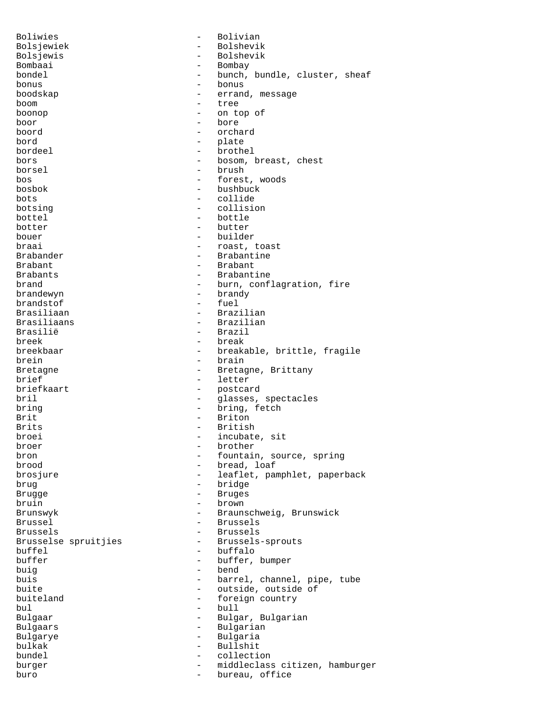Boliwies - Bolivian Bolsjewiek - Bolshevik<br>Bolsjewis - Bolshevik<br>- Bolshevik Bolsjewis - Bolshevik<br>Bombaai - Bombay - Bombay Bombaai - Bombay - Bombay - Bombay - Bombay - Bombay - Bombay - Bombay - Bombay - Bombay - Bombay - Bombay - Bombay - Bombay - Bombay - Bombay - Bombay - Bombay - Bombay - Bombay - Bombay - Bombay - Bombay - Bombay - Bomba - bunch, bundle, cluster, sheaf bonus - bonus boodskap - errand, message boom - tree boonop - on top of boor - bore boord - orchard - plate bordeel - brothel bors - bosom, breast, chest borsel - brush - brush - brush - brush - forest - forest, woods bosbok - bushbuck<br>bots - collide bots - collide<br>
botsing - collisie botsing - collision bottel - bottle botter - butter<br>houer - butter<br>- huilder - builder braai  $-$  roast, toast Brabander - Brabantine Brabant - Brabant - Brabantine brand  $-$  burn, conflagration, fire brandewyn - brandy brandstof<br>Brasiliaan Brasiliaan - Brazilian - Brazilian - Brasilian - Brasilian - Brasilian - Brasilian - Brasilian - Brasilian - Brasilian - Brasilian - Brasilian - Brasilian - Brasilian - Brasilian - Brasilian - Brasilian - Brasilian - Brasi Brasiliaans - Brazilian<br>Brasilië - Brazil Brasilië - Brazil<br>breek - break - break breek - break - breakable, brittle, fragile brein - brain - brain Bretagne - Bretagne, Brittany brief - letter<br>
briefkaart - postca - postcard<br>- glasses bril  $-$  glasses, spectacles bring - bring, fetch Brit - Briton Brits - British broei - incubate, sit broer - brother bron  $\begin{array}{ccc} - & f \text{countain, source, spring} \\ - & b \text{read, loaf} \end{array}$ brood - bread, loaf - leaflet, pamphlet, paperback brug - bridge Brugge - Bruges bruin - brown Brunswyk - Braunschweig, Brunswick Brussel - Brussels Brussels - Brussels Brusselse spruitjies - - Brussels-sprouts buffel - buffalo buffer - buffer, bumper<br>
buig<br>
- bend<br>
- bend buig - bend buis  $-$  barrel, channel, pipe, tube buite - outside, outside of buiteland - foreign country bul - bull - Bulgar, Bulgarian Bulgaars - Bulgarian Bulgarye - Bulgaria<br>bulkak - Bulgaria bulkak - Bullshit bundel - collection burger - middleclass citizen, hamburger buro - bureau, office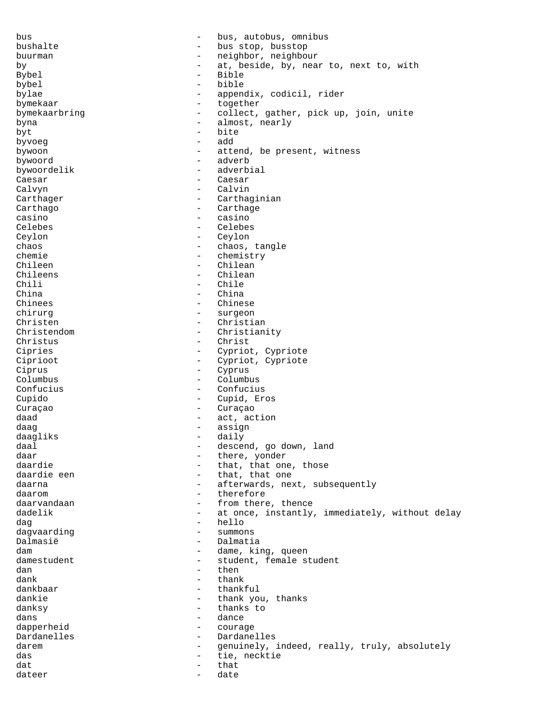bus - bus, autobus, omnibus bushalte - bus stop, busstop buurman - neighbor, neighbour<br>by - at beside by nea by - at, beside, by, near to, next to, with Bybel - Bible bybel - bible<br>hylae - annen bylae - appendix, codicil, rider<br>
bymekaar - together bymekaar - together bymekaarbring - collect, gather, pick up, join, unite byna - almost, nearly byt - bite<br>hyvoen - add byvoeg add - add - add - att bywoon - attend, be present, witness bywoord - adverb bywoordelik - adverbial Caesar - Caesar Calvyn - Calvin Carthager - Carthaginian<br>Carthago - Carthage Carthago - Carthage - Carthage - Carthage - Carthage - Carthage - Carthage - Carthage - Carthage - Carthage - Carthage - Carthage - Carthage - Carthage - Carthage - Carthage - Carthage - Carthage - Carthage - Carthage - Ca casino - casino Celebes - Celebes Ceylon - Ceylon chaos - chaos, tangle chemie - chemistry Chileen - Chilean Chileens - Chilean Chili - Chile China - China Chinees - Chinese chirurg - surgeon<br>Christen - Christia Christen - Christian<br>Christendom - Christian Christendom - Christianity<br>Christus - Christ Christus - Christ<br>Cipries - Christ<br>- Cypriot - Cypriot, Cypriote Ciprioot - Cypriot, Cypriote Ciprus - Cyprus Columbus - Columbus Confucius - Confucius Cupido - Cupid, Eros Curaçao - Curaçao - Curaçao - Curaçao - Curaçao - Curaçao - Curaçao - Curaçao - Curaçao - Curaçao - Curaçao - Curaçao - Curaçao - Curaçao - Curaçao - Curaçao - Curaçao - Curaçao - Curaçao - Curaçao - Curaçao - Curaçao - Cu daad - act, action<br>daag - assign - assign assign daagliks - daily<br>daal - daily daal - descend, go down, land daar - there, yonder<br>daardie - that, that on daardie - that, that one, those daardie een - that, that one, those daardie een - that, that one - that, that one daarna - afterwards, next, subsequently daarom - therefore - from there, thence dadelik - at once, instantly, immediately, without delay dag - hello<br>dagvaarding - hello - hello dagvaarding - summons -Dalmasië - Dalmatia<br>
dam - dame.ki - dame, king, queen<br>- student female s damestudent - student, female student<br>dan dan - then - then  $dank$  - thank  $dank$  - thank dankbaar - thankful<br>dankie - thank vo dankie  $-$  thank you, thanks danksy - thanks to dans - dance<br>dapperheid - dance - dance dapperheid - courage Dardanelles - Dardanelles<br>darem - genuinely, - genuinely, indeed, really, truly, absolutely das external tie, necktie dat - that - that dateer - date - date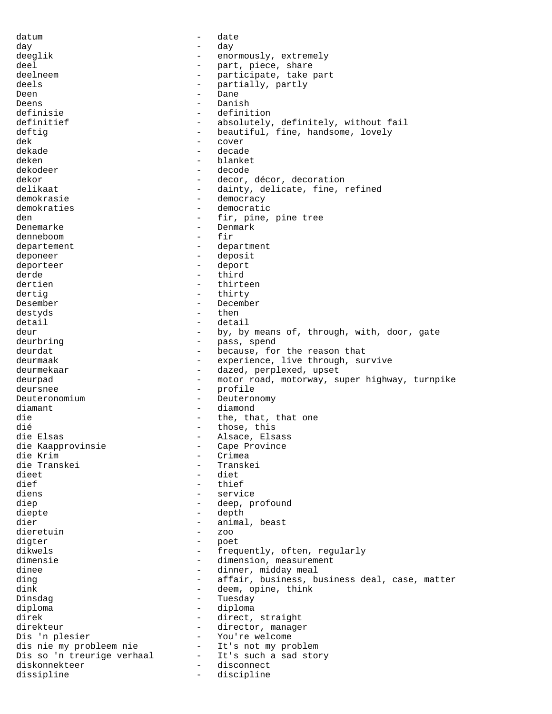datum - date - date day - day deeglik - enormously, extremely deel - part, piece, share deelneem - participate, take part<br>deels - partially partly deels - partially, partly<br>
Deen - Pane Deen - Dane - Dane Deens - Danish<br>definisie - defini definisie - definition - definition definitief - definition - definition - definition - definition - definition - definition - definition - definition - definition - definition - definition - definition - definition - defi - absolutely, definitely, without fail deftig  $-$  beautiful, fine, handsome, lovely dek - cover<br>dekade - cover<br>dekade - decade dekade - decade deken - blanket dekodeer - decode dekor - decor, décor, decoration delikaat - dainty, delicate, fine, refined demokrasie - democracy demokraties - democratic<br>den - fir.pine. den  $-$  fir, pine, pine tree<br>Denemarke  $-$  Denmark - Denmark<br>- fir denneboom departement - department deponeer - deposit deporteer - deport derde - third dertien - thirteen dertig - thirty Desember - December destyds - then detail  $\begin{array}{ccc} - & \text{detail} \\ \text{deuri} & - & \text{b} \end{array}$ deur - by, by means of, through, with, door, gate deurbring  $-$  pass, spend deurdat - because, for the reason that deurmaak - experience, live through, survive deurmekaar - dazed, perplexed, upset deurpad - motor road, motorway, super highway, turnpike deursnee - profile Deuteronomium - Deuteronomy diamant - diamond die  $\begin{array}{ccc}\n\text{die} & - & \text{the, that, that one} \\
\text{die} & - & \text{those, this}\n\end{array}$ dié  $\begin{array}{ccc}\n\texttt{di\'e} & - & \texttt{those, this} \\
\texttt{die Elsas} & - & \texttt{Alsace, Els}\n\end{array}$ - Alsace, Elsass<br>- Cape Province die Kaapprovinsie - Cape Province<br>die Krim die Krim - Crimea die Transkei<br>dieet dieet - diet<br>dief - thie - thief diens - service diep - deep, profound diepte - depth dier - animal, beast<br>dieretuin - 700 dieretuin - zoo digter - poet dikwels - frequently, often, regularly<br>dimensie - dimension measurement dimensie - dimension, measurement<br>dinee - dinner midday meal dinee - dinner, midday meal<br>ding - dinner, midday meal<br>- affair, business, b ding  $-$  affair, business, business deal, case, matter<br>dink  $-$  deem, opine, think dink - deem, opine, think<br>Dinsdag - Tuesday - Tuesday Tuesday diploma - diploma direk - direct, straight direkteur - director, manager Dis 'n plesier - You're welcome<br>dis nie my probleem nie - It's not my problem dis nie my probleem nie - It's not my problem Dis so 'n treurige verhaal - It's such a story of the such stated states of the story of the story of the story of the story of the story of the story of the story of the story of the story of the story of the story of the diskonnekteer – diskonnekteer – diskonnekteer – diskonnecteer – diskonnecteer – diskonnecteer – diskonnecteer<br>diskonnecteer – diskonnecteer – diskonnecteer – diskonnecteer – diskonnecteer – diskonnecteer – diskonnecteer dissipline - discipline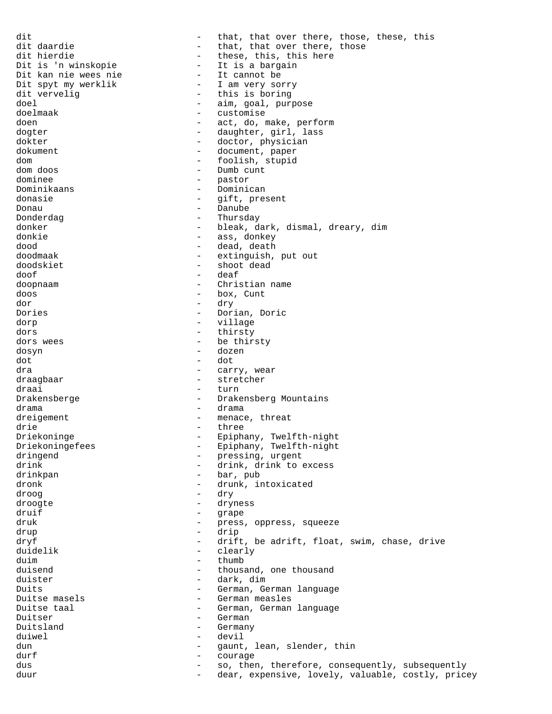dit daardie extraord that, that over there, those, these, this dit daardie extraord the that, that over there, those dit daardie - that, that over there, those<br>dit hierdie - these, this, this here dit hierdie - these, this, this here<br>Dit is 'n winskopie - It is a bargain - It is a bargain<br>- It cannot be Dit kan nie wees nie<br>Dit spyt my werklik Dit spyt my werklik - I am very sorry<br>dit vervelig - this is boring dit vervelig and the set of this is boring<br>doel - this is boring<br>- aim, goal, puri doel - aim, goal, purpose<br>doelmaak - customise - customise doen en act, do, make, perform dogter - daughter, girl, lass dokter - doctor, physician dokument - document, paper dom - foolish, stupid - Dumb cunt dominee - pastor Dominikaans - Dominican donasie  $-$  gift, present Donau - Danube - Danube - Danube - Danube - Danube - Danube - Danube - Danube - Danube - Danube - Danube - Danube - Superint and the Superint Superint and the Superint Superint Superint Superint Superint Superint Superint - Thursday donker - bleak, dark, dismal, dreary, dim<br>donkie - ass, donkev - ass, donkey dood - dead, death - extinguish, put out doodskiet - shoot dead doof - deaf doopnaam - Christian name doos - box, Cunt dor - dry Dories - Dorian, Doric dorp - village dors - thirsty dors wees - be thirsty dosyn - dozen dot - dot dra - carry, wear - stretcher draai - turn Drakensberge - Drakensberg Mountains drama - drama - drama - drama - drama - drama - drama - drama - drama - drama - drama - drama - drama - drama - drama - drama - drama - drama - drama - drama - drama - drama - drama - drama - drama - drama - drama - drama dreigement - menace, threat<br>drie - three drie - three Driekoninge - Epiphany, Twelfth-night Driekoningefees - Epiphany, Twelfth-night dringend - pressing, urgent<br>drink - drink drink to drink - drink, drink to excess drinkpan - bar, pub - bar, pub dronk - drunk, intoxicated<br>droog - drv droog - dry droogte - dryness druif - grape druk - press, oppress, squeeze<br>drup - drip drup - drip dryf - drift, be adrift, float, swim, chase, drive<br>duidelik - clearly - clearly<br>- thumb duim - thumb duisend - thumb - thous duisend - thousand, one thousand<br>duister - dark, dim duister - dark, dim - German, German language Duitse masels **community** - German measles Duitse taal - German, German language Duitser - German<br>Duitsland - German Duitsland - Germany duiwel - devil dun - gaunt, lean, slender, thin durf europe en la courage durf en la courage en la courage en la courage durf en la courage durf en la courage dus extending the so, then, therefore, consequently, subsequently duur duur - dear, expensive, lovely, valuable, costly, pricey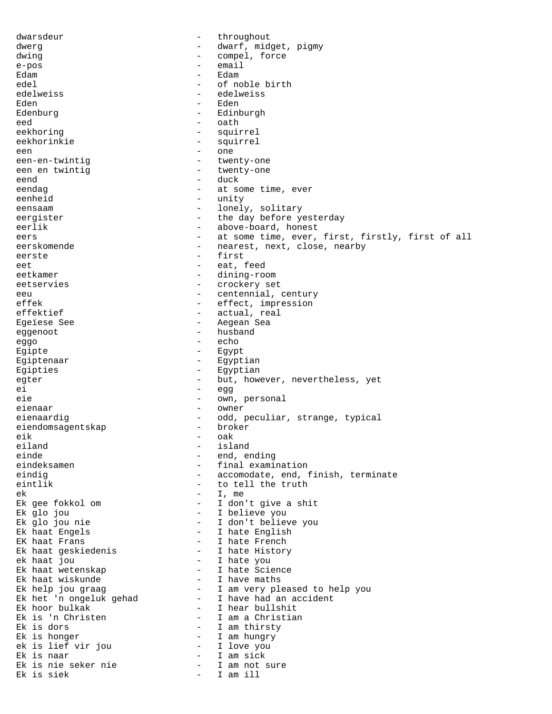dwarsdeur - throughout dwerg  $\qquad \qquad -$  dwarf, midget, pigmy dwing  $-$  compel, force e-pos - email Edam - Edam edel - of noble birth<br>edelweiss - of noble birth<br>- edelweiss edelweiss - edelweiss Eden - Eden - Eden - Eden - Eden - Eden - Eden - Edinburg - Edinburgh eed - oath eekhoring eekhoring - squirrel eekhorinkie - squirrel een - one een-en-twintig  $-$  twenty-one een en twintig  $-$  twenty-one eend - duck - at some time, ever eenheid - unity eensaam - lonely, solitary eergister - the day before yesterday eerlik - above-board, honest eers - at some time, ever, first, firstly, first of all eerskomende - nearest, next, close, nearby eerste - first eet eat, feed eetkamer - dining-room eetservies - crockery set eeu - centennial, century effek - effect, impression<br>effektief - actual, real - actual, real Egeïese See - Aegean Sea eggenoot - husband eggo - echo - echo - echo Egipte - Egypt Egiptenaar - Egyptian Eqipties - Egyptian egter - but, however, nevertheless, yet ei - egg eie - own, personal eienaar - owner eienaardig - odd, peculiar, strange, typical<br>eiendomsaqentskap - broker eiendomsagentskap eik - oak<br>eiland - isla eiland - island einde - end, ending<br>eindeksamen - end, ending<br>- final exami - final examination eindig - accomodate, end, finish, terminate eintlik - to tell the truth eintlik - to tell the truth ek diagnosis eta algoria eta algoria eta algoria eta algoria eta algoria eta algoria eta algoria eta algoria e Ek gee fokkol om - I don't give a shit Ek glo jou - I believe you Ek glo jou nie - I don't believe you Ek haat Engels - I hate English EK haat Frans  $\begin{array}{cccc} - & I & \text{hate French} \end{array}$ Ek haat geskiedenis - I hate History ek haat jou - I hate you Ek haat wetenskap - I hate Science Ek haat wiskunde  $\qquad \qquad$  - I have maths Ek help jou graag - I am very pleased to help you Ek het 'n ongeluk gehad - I have had an accident Ek hoor bulkak  $\qquad \qquad -$  I hear bullshit Ek is 'n Christen - I am a Christian Ek is dors - I am thirsty Ek is honger  $-$  I am hungry ek is lief vir jou - I love you Ek is naar - I am sick Ek is nie seker nie I am not sure Ek is siek - I am ill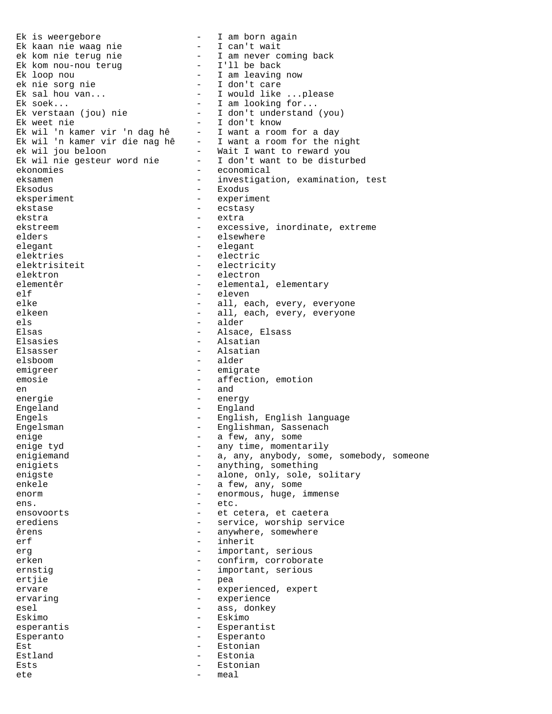Ek is weergebore  $\qquad \qquad -$  I am born again Ek kaan nie waag nie - I can't wait ek kom nie terug nie - I am never coming back Ek kom nou-nou terug I'll be back Ek loop nou  $\qquad \qquad -$  I am leaving now ek nie sorg nie  $\begin{array}{cccc} - & 1 & \text{don't care} \\ \text{Ek sal hou van...} & - & 1 & \text{would like} \end{array}$ Ek sal hou van...  $\begin{array}{cccc} \text{Ek} & \text{sech.} \\ \text{Ek} & \text{sech.} \\ \text{Ek} & \text{sech.} \end{array}$  - I would like ...please Ek soek...<br>Ek verstaan (jou) nie 1 - I don't understand Ek verstaan (jou) nie  $-$  I don't understand (you)<br>Ek weet nie  $-$  I don't know Ek weet nie - I don't know Ek wil 'n kamer vir 'n dag hê - I want a room for a day Ek wil 'n kamer vir die nag hê - I want a room for the night ek wil jou beloon - Wait I want to reward you Ek wil nie gesteur word nie - I don't want to be disturbed ekonomies - economical eksamen - investigation, examination, test Eksodus - Exodus eksperiment - experiment ekstase - ecstasy ekstra extra extra ekstreem - excessive, inordinate, extreme<br>
elders<br>
- elsewhere - elsewhere elegant - elegant elektries - electric elektrisiteit - electricity elektron - electron elementêr - elemental, elementary elf - eleven elke - all, each, every, everyone<br>elkeen - all, each, every, everyone - all, each, every, everyone els - alder Elsas - Alsace, Elsass - Elsass - Alsace, Elsass - Alsace, Elsass - Alsace, Elsass - Alsace, Elsass - Alsace, Elsasies - Alsatian<br>Elsasser - Alsatian - Alsatian - Alsatian elsboom - alder emigreer - emigrate emosie - affection, emotion en  $-$  and  $-$  and energie  $-$  energy Engeland - England Engels - English, English language Engelsman - Englishman, Sassenach enige  $\begin{array}{cccc} \texttt{enige} & \texttt{end} & \texttt{end} & \begin{array}{cccc} \texttt{enige} & \texttt{end} & \texttt{end} & \begin{array}{cccc} \texttt{enige} & \texttt{end} & \begin{array}{cccc} \texttt{enige} & \texttt{end} & \begin{array}{cccc} \texttt{enige} & \texttt{end} & \begin{array}{cccc} \texttt{enige} & \texttt{end} & \begin{array}{cccc} \texttt{enige} & \texttt{end} & \begin{array}{cccc} \texttt{enige} & \texttt{end} & \begin{array}{cccc} \texttt{enige} & \texttt{end} & \begin{$ - any time, momentarily enigiemand and the state of the contract of the contract of the some of the contract of the contract of the contract of the contract of the contract of the contract of the contract of the contract of the contract of the co enigiets - anything, something<br>enigste - alone, only, sole, and - alone, only, sole, solitary enkele - a few, any, some enorm - enormous, huge, immense ens.  $\qquad \qquad -$  etc. ensovoorts - et cetera, et caetera erediens - service, worship service êrens erens anywhere, somewhere erf - inherit erg erg - important, serious erken - confirm, corroborate ernstig  $-$  important, serious ertjie - pea ervare  $-$  experienced, expert ervaring ervaring experience esel - ass, donkey Eskimo - Eskimo esperantis - Esperantist Esperanto - Esperanto Est - Estonian Estland - Estonia Ests - Estonian ete eta erreferentzia eta erreferentzia eta erreferentzia eta erreferentzia erreferentzia erreferentzia errefe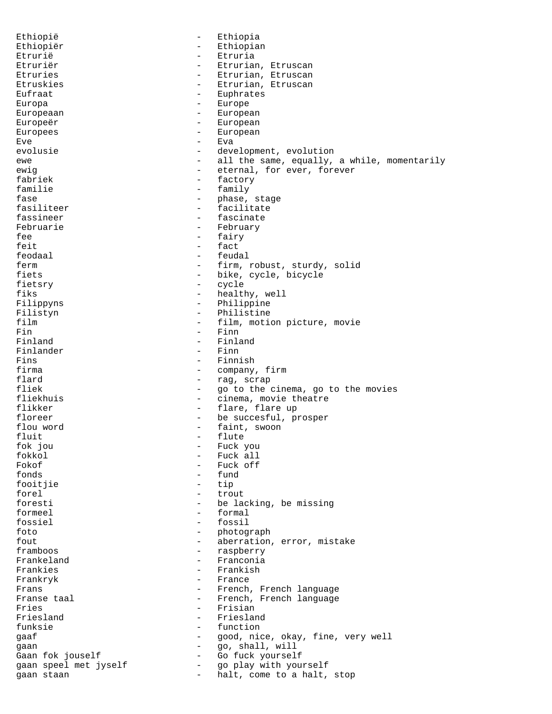Ethiopië - Ethiopia Ethiopiër - Ethiopian Etrurië - Etruria Etruriër - Etrurian, Etruscan Etruries - Etrurian, Etruscan Etruskies - Etrurian, Etruscan Eufraat - Euphrates Europa - Europe Europeaan - European Europeër european - European Europees - European  $Eve$   $Eva$ evolusie - development, evolution ewe  $-$  all the same, equally, a while, momentarily ewig  $-$  eternal, for ever, forever fabriek - factory familie - family - family - family - family - family - family - family - family - family - family - family - family - family - family - family - family - family - family - family - family - family - family - family - famil fase  $\begin{array}{ccc} - & - & - \\ - & - & - \end{array}$  stage fasiliteer fasiliteer  $\qquad \qquad -$  facilitate<br>fassineer  $\qquad \qquad -$  fascinate fassineer - fascinate Februarie - February<br>fee - fairy - fairy  $f$ eit  $-$  fact feodaal - feudal ferm  $\begin{array}{ccc} - & \text{firm, robust, study, solid} \\ - & \text{bike. cycle, bicycle} \end{array}$ - bike, cycle, bicycle fietsry - cycle fiks - healthy, well Filippyns - Philippine Filistyn - Philistine<br>film - film, motio film - film, motion picture, movie Fin<br>Finland - Finland - Finland - Finland - Finland<br>- Finn Finlander<br>Fins Fins - Finnish<br>firma - Company firma - company, firm<br>flard - rag. scrap flard - rag, scrap<br>fliek - ao to the - go to the cinema, go to the movies fliekhuis - cinema, movie theatre flikker - flare, flare up floreer - be succesful, prosper<br>flou word - faint, swoon - faint, swoon fluit - flute - flute - flute - flute - flute - flute - flute - flute - flute - flute - flute - flute - flute - flute - flute - flute - flute - flute - flute - flute - flute - flute - flute - flute - flute - flute - flute fok jou - Fuck you fokkol - Fuck all  $\begin{array}{cccc}\n\text{Fokof} & - & \text{Fuck off} \\
\text{fonds} & - & \text{fund}\n\end{array}$ - fund<br>- tip fooitjie forel  $-$  trout foresti  $-$  be lacking, be missing formeel - formal fossiel - fossil foto - photograph fout - aberration, error, mistake framboos - raspberry - Franconia<br>- Frankish Frankies - Frankish Frankryk - France Frans - French, French language<br>Franse taal - French, French language - French, French language Fries<br>Friesland - Friesland - Friesland Friesland - Friesland funksie - function gaaf - good, nice, okay, fine, very well gaan - go, shall, will - Go fuck yourself gaan speel met jyself - go play with yourself gaan staan - halt, come to a halt, stop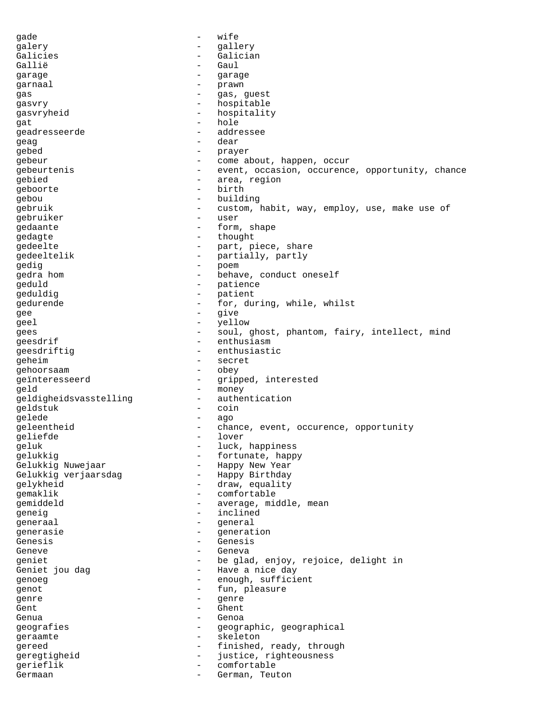gade - wife galery - gallery Galicies - Galician Gallië - Gaul garage - garage - garage - garage - garage - garage - garage - garage - garage - garage - garage - garage - garage - garage - garage - garage - garage - garage - garage - garage - garage - garage - garage - garage - garage garnaal – prawn – prawn<br>gas gas - gas, guest gasvry - hospitable gasvryheid - hospitality gat - hole geadresseerde - addressee<br>Gead geag - dear gebed - prayer gebeur - come about, happen, occur gebeurtenis - event, occasion, occurence, opportunity, chance<br>gebied - area, region - area, region<br>- birth geboorte en birthe and birthe and birthe and birthe and birthe and birthe and birthe and birthe and birthe and gebou - building<br>
gebruik - custom gebruik - custom, habit, way, employ, use, make use of gebruiker – user<br>cedaante – user – user gedaante - form, shape gedagte - thought gedeelte - part, piece, share gedeeltelik - partially, partly<br>
gedig<br>
- poem gedig - poem gedra hom  $\qquad \qquad -$  behave, conduct oneself geduld - patience geduldig  $-$  patient gedurende - for, during, while, whilst gee - give<br>
gee - give<br>
- vell geel - yellow - yellow gees - soul, ghost, phantom, fairy, intellect, mind geesdrif - enthusiasm<br>
geesdriftig - enthusiastic geesdriftig geheim - secret<br>
gehoorsaam - obey gehoorsaam geïnteresseerd - gripped, interested geld - money geldigheidsvasstelling - authentication geldstuk – coin<br>gelede – ago gelede - ago geleentheid - chance, event, occurence, opportunity<br>geliefde - lover<br> geliefde - lover - lover - lover - lover - lover - lover - lover - lover - lover - lover - lover - lover - lo luck, happiness gelukkig - fortunate, happy - Happy New Year Gelukkig verjaarsdag aan - Happy Birthday gelykheid - draw, equality emaklik - comfortable<br>gemiddeld - average, mid - average, middle, mean geneig - inclined generaal - general - general - general - general - general - general - general - general - general - general - general - general - general - general - general - general - general - general - general - general - general - g generasie - generation Genesis - Genesis Geneve - Geneva geniet - be glad, enjoy, rejoice, delight in - Have a nice day<br>- enough, suffici genoeg enough, sufficient genot - fun, pleasure<br>
cente genre - genre Gent - Ghent Genua - Genoa<br>geografies - Genoa - Genoa geografies - geographic, geographical geraamte - skeleton gereed  $-$  finished, ready, through geregtigheid - justice, righteousness gerieflik - comfortable Germaan - German, Teuton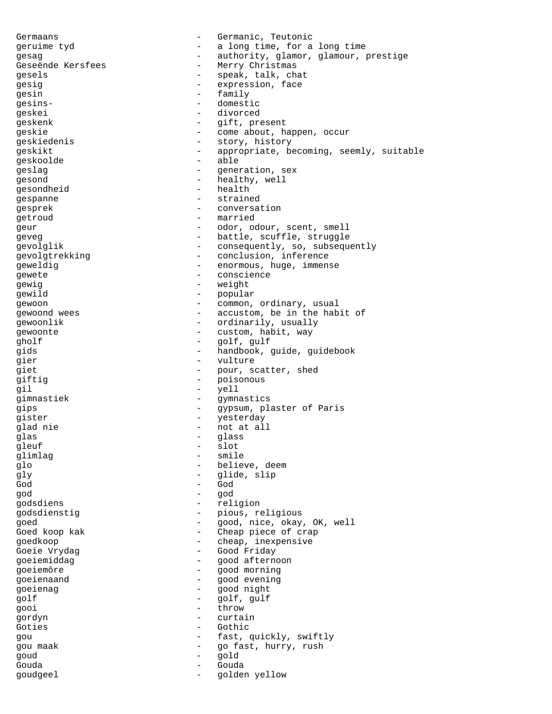Germaans - Germanic, Teutonic geruime tyd - a long time, for a long time gesag external of the contract of the authority, glamor, glamour, prestige Geseënde Kersfees - - Merry Christmas gesels - speak, talk, chat<br>gesig gesig  $-$  expression, face<br>  $\alpha$ esin  $-$  family gesin - family<br>cesing- - constant - domestic gesins- - domestic geskei - divorced geskenk - gift, present geskie  $\qquad \qquad -$  come about, happen, occur qeskiedenis - story, history geskikt - appropriate, becoming, seemly, suitable geskoolde - able geslag - generation, sex gesond - healthy, well gesondheid - health<br>gespanne - straine gespanne - strained<br>
gesprek - strained<br>
- converse gesprek - conversation getroud - married geur - odor, odour, scent, smell geveg extending the settle, scuffle, struggle gevolglik - consequently, so, subsequently gevolgtrekking - conclusion, inference geweldig - enormous, huge, immense<br>gewete - enormous, huge, immense - conscience gewig  $-$  weight gewild - popular - popular<br>qewoon - common. gewoon - common, ordinary, usual gewoond wees - accustom, be in the habit of gewoonlik - ordinarily, usually<br>
gewoonte - custom habit way gewoonte - custom, habit, way gholf - golf, gulf gids **-** handbook, guide, guidebook gier - vulture giet - pour, scatter, shed<br>
qiftiq - poisonous<br>
- poisonous - poisonous gil - yell<br>qimnastiek - qvmn gimnastiek - gymnastics gips - gypsum, plaster of Paris gister - yesterday - yesterday glad nie twee teen van die soos na die soos na die soos na die soos na die soos na die soos na die soos na die glas - glass - glass gleuf - slot glimlag - smile glo - believe, deem gly - glide, slip God - God god - god godsdiens - religion godsdienstig - pious, religious<br>goed - and interesting goed - good, nice, okay, OK, well Goed koop kak - Cheap piece of crap goedkoop - cheap, inexpensive Goeie Vrydag and The Good Friday goeiemiddag en architecture - good afternoon goeiemôre - good morning goeienaand - good evening goeienag - good night golf  $\overline{g}$  - golf, gulf gooi - throw gordyn - curtain Goties - Gothic gou  $-$  fast, quickly, swiftly<br>gou maak  $-$  go fast, hurry, rush gou maak - go fast, hurry, rush goud - gold Gouda - Gouda goudgeel - golden yellow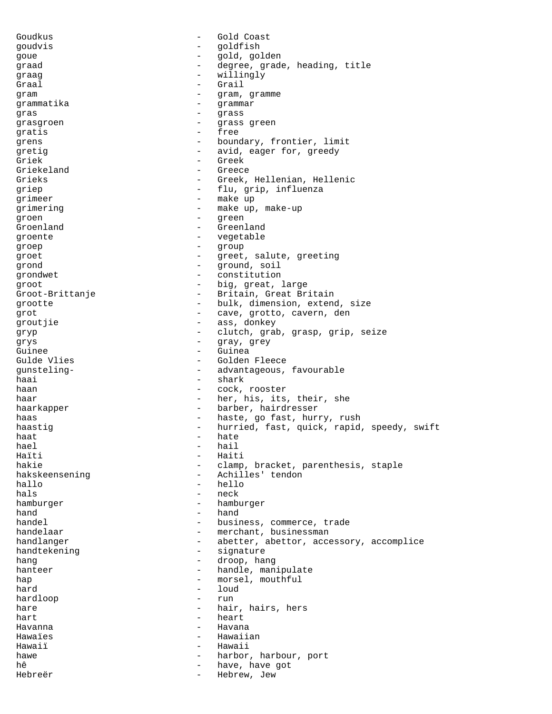Goudkus - Gold Coast goudvis - goldfish goue - gold, golden graad - degree, grade, heading, title graag - willingly Graal - Grail  $gram$   $gram$   $gram$ ,  $gramme$ <br> $gramm2r$ grammatika - grammar - grammar - grammar - grammar - grammar - grammar - grammar - grammar - grammar - grammar - grammar - grammar - grammar - grammar - grammar - grammar - grammar - grammar - grammar - grammar - grammar gras  $\frac{1}{2}$  grass  $\frac{1}{2}$  grass  $\frac{1}{2}$  grass  $\frac{1}{2}$  grass  $\frac{1}{2}$  grass  $\frac{1}{2}$  grass  $\frac{1}{2}$ grasgroen - Grass green gratis - free grens  $\qquad \qquad -$  boundary, frontier, limit gretig  $-$  avid, eager for, greedy Griek - Greek Griekeland - Greece Grieks - Greek, Hellenian, Hellenic griep - flu, grip, influenza grimeer - make up grimering - make up, make-up<br>  $\frac{1}{2}$  make up, make-up groen - green - green Groenland - Greenland groente - vegetable groep - group groet - greet, salute, greeting qrond  $\qquad \qquad -$  qround, soil grondwet - constitution groot  $-$  big, great, large Groot-Brittanje - Britain, Great Britain grootte - bulk, dimension, extend, size grot<br>  $\begin{array}{ccc}\n\text{grav}\end{array}$  - cave, grotto, cavern, den groutjie  $\qquad \qquad \qquad -$  ass, donkey<br>gryp  $\qquad \qquad -$  clutch grab gryp - clutch, grab, grasp, grip, seize<br>
- gray gray grys - gray, grey Guinee - Guinea - Golden Fleece gunsteling- - advantageous, favourable haai - shark haan - cock, rooster haar - her, his, its, their, she haarkapper - barber, hairdresser haas and the set of the haste, go fast, hurry, rush haastig extending the nurried, fast, quick, rapid, speedy, swift haat - hate - hate - hate - hate - hail hael - hail Haïti - Haiti - Haiti - Haiti - Haiti - Haiti - Haiti - Haiti - Haiti - Haiti - Haiti - Haiti - Haiti - Haiti - Haiti - Haiti - Haiti - Haiti - Haiti - Haiti - Haiti - Haiti - Haiti - Haiti - Haiti - Haiti - Haiti - Haiti hakie - clamp, bracket, parenthesis, staple<br>hakskeensening - Achilles' tendon - Achilles' tendon hallo - hello hals - neck hamburger hamburger - hamburger hand - hand handel  $-$  business, commerce, trade handelaar - merchant, businessman handlanger - abetter, abettor, accessory, accomplice handtekening - signature handtekening - signature - signature - signature - signature - signature - signature - signature - signature hang  $\begin{array}{cccc} - & d \text{roop, hang} \\ - & h \text{andle, man} \end{array}$ hanteer handle, manipulate hap - morsel, mouthful<br>hard - loud - loud - loud<br>- run hardloop hare  $-$  hair, hairs, hers hart - heart Havanna - Havana Hawaïes **Manual Accord Accord Accord Hawaiian** Hawaiï - Hawaii hawe  $\begin{array}{ccc} - & \text{harbor, harbour, port} \\ - & \text{harbor, however, port} \end{array}$ hê - have, have got<br>Hebreër - Hebreër - Hebrew, Jew Hebrew, Jew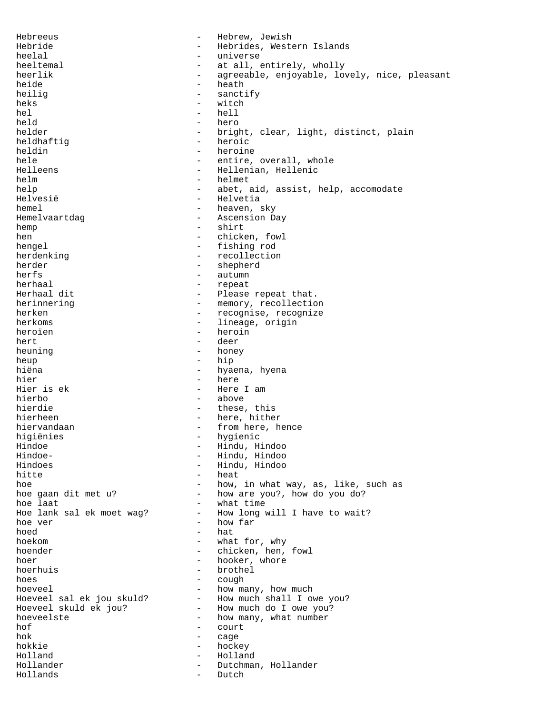Hebreeus - Hebrew, Jewish Hebride - Hebrides, Western Islands heelal - universe heeltemal - at all, entirely, wholly heerlik - agreeable, enjoyable, lovely, nice, pleasant heide - heath<br>heilig - sangt heilig - sanctify<br>heks - witch heks - witch - witch - witch - witch - witch - witch - witch - witch - witch - witch - witch - witch - witch hel - hell - hell - hell - hero held - hero<br>helder - hero<br>helder - brig - bright, clear, light, distinct, plain<br>- heroic heldhaftig heldin - heroine hele  $-$  entire, overall, whole Helleens - Hellenian, Hellenic helm - helmet - abet, aid, assist, help, accomodate Helvesië - Helvetia hemel - heaven, sky Hemelvaartdag en andere andere as a Ascension Day hemp - shirt<br>hen - chicke - chicken, fowl hengel  $-$  fishing rod herdenking  $-$  recollection herder - shepherd<br>herfs - shepherd<br>- autumn - autumn herhaal - repeat - Please repeat that. herinnering  $-$  memory, recollection herken - recognise, recognize herkoms - lineage, origin<br>heroïen - heroin heroïen 1988 - heroin errorien 1988 - heroin errorien 1988 - heroin errorien 1988 - heroin errorien 1988 - her<br>1988 - Heer deer 1988 - deer 1988 - deer 1988 - deer 1988 - deer 1988 - deer 1988 - deer 1988 - deer 1988 - dee hert en anders ander the deer of the deer deer heuning  $-$  honey heup - hip<br>hiëna - hva - hyaena, hyena hier - here - Here I am hierbo - above hierdie  $-$  these, this hierheen - here, hither hiervandaan - from here, hence higiënies - hygienic<br>Hindoe - Hindu, Hindu, Hindu Hindoe - Hindu, Hindoo Hindoe- - Hindu, Hindoo Hindoes - Hindu, Hindoo - heat hoe how, in what way, as, like, such as hoe gaan dit met u? - how are you?, how do you do?<br>hoe laat - what time - what time Hoe lank sal ek moet wag? - How long will I have to wait? hoe ver - how far hoed - hat hoekom - what for, why hoender - chicken, hen, fowl hoer - hooker, whore hoerhuis<br>
- hooker, whore hoerhuis - brothel<br>- couch hoes - cough hoeveel<br>Hoeveel sal ek jou skuld? - how much shall I own Hoeveel sal ek jou skuld? - How much shall I owe you?<br>Hoeveel skuld ek jou? - How much do I owe you? Hoeveel skuld ek jou? - How much do I owe you?<br>hoeveelste - how many, what number hoeveelste - how many, what number<br>hof - court - court hok - cage hokkie – hockey<br>Holland – Holland – Hollan Holland - Holland - Dutchman, Hollander<br>- Dutch Hollands - Dutch - Dutch - Dutch - Dutch - Dutch - Dutch - Dutch - Dutch - Dutch - Dutch - Dutch - Dutch - Du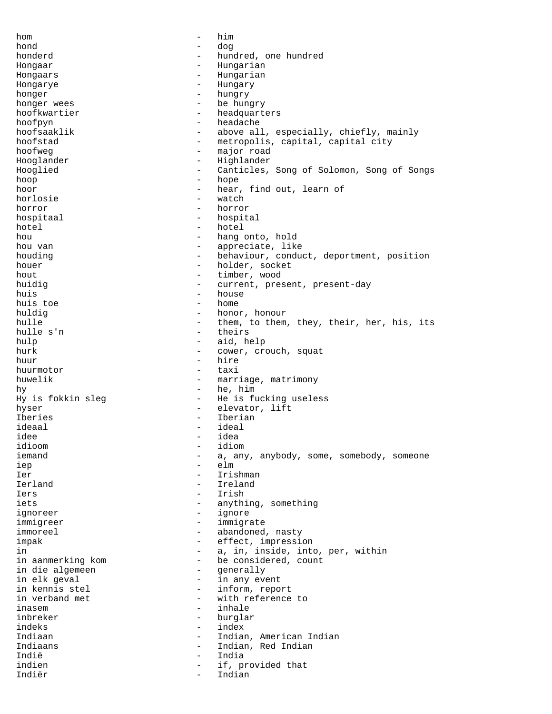hom - him hond - dog honderd **-** hundred, one hundred Hongaar - Hungarian Hongaars - Hungarian Hongarye - Hungary honger - hungry - be hungry hoofkwartier - headquarters hoofpyn - headache hoofsaaklik - above all, especially, chiefly, mainly hoofstad - metropolis, capital, capital city hoofweg - major road Hooglander - Highlander Hooglied - Canticles, Song of Solomon, Song of Songs hoop - hope hoor - hear, find out, learn of<br>horlosie - watch horlosie - watch<br>horror - horror - horror horror - horror hospitaal - hospital hotel - hotel - hotel - hotel - hotel - hotel - hotel - hotel - hotel - hotel - hotel - hotel - hotel - hotel - hotel - hotel - hotel - hotel - hotel - hotel - hotel - hotel - hotel - hotel - hotel - hotel - hotel - hotel - hang onto, hold hou van die eerste van die van die van die van die van die van die van die van die van die van die van die van die v houding  $-$  behaviour, conduct, deportment, position houer - holder, socket hout  $-$  timber, wood huidig  $-$  current, present, present-day huis - house huis toe and a home - home - home - home - home - home - home - home - home - home - home - home - home - home - home - home - home - home - home - home - home - home - home - home - home - home - home - home - home - home huldig - honor, honour hulle  $-$  them, to them, they, their, her, his, its hulle s'n  $-$  theirs - theirs hulp - aid, help - cower, crouch, squat huur - hire<br>huurmotor - taxi huurmotor huwelik  $-$  marriage, matrimony hy - he, him Hy is fokkin sleg - He is fucking useless hyser - elevator, lift<br>Theries - Therian<br>- Therian Iberies - Iberian - Iberian - Iberian - Iberian - Iberian - Iberian - Iberian - Iberian - Iberian - Iberian ideaal - ideal idee - idea idioom - idiom iemand  $-$  a, any, anybody, some, somebody, someone iep - elm Ier - Irishman Ierland - Ireland Iers - Irish iets  $-$  anything, something ignoreer - ignore immigreer - immigrate immoreel - abandoned, nasty impak  $-$  effect, impression in  $-$  a, in, inside, into, per, within<br>in aanmerking kom  $-$  be considered, count - be considered, count<br>- generally in die algemeen - generally in elk geval - in any event - inform, report in verband met  $-$  with reference to inasem  $-$  inhale inbreker - burglar<br>indeks - index - index indeks - index Indiaan - Indian, American Indian Indiaans - Indian, Red Indian Indië - India indien and the set of the set of the set of the set of the set of the set of the set of the set of the set of t Indiër - Indian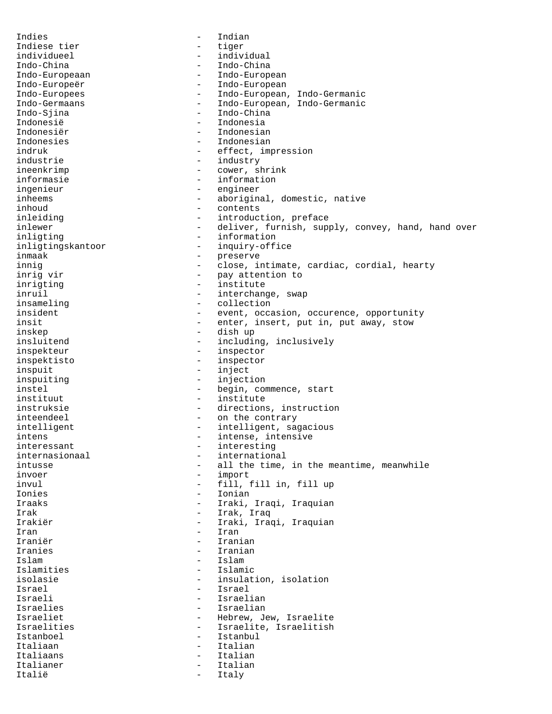Indies - Indian Indiese tier en andere tiger individueel - individual Indo-China - Indo-China Indo-Europeaan - Indo-European Indo-Europeër - Indo-European Indo-Europees - The Indo-European, Indo-Germanic Indo-Germaans - Indo-European, Indo-Germanic<br>Indo-Sjina - Indo-China - Indo-China - Indo-China Indonesië - Indonesia Indonesiër - Indonesian Indonesies - Indonesian indruk - effect, impression industrie  $-$  industry ineenkrimp - cower, shrink informasie - information ingenieur - engineer inheems - aboriginal, domestic, native<br>inhoud - contents inhoud - contents inleiding  $-$  introduction, preface inlewer - deliver, furnish, supply, convey, hand, hand over - information inligtingskantoor - inquiry-office inmaak - preserve innig extended to the close, intimate, cardiac, cordial, hearty inrig vir  $-$  pay attention to inrigting  $-$  institute inruil - interchange, swap insameling  $\qquad \qquad -$  collection insident  $-$  event, occasion, occurence, opportunity insit  $-$  enter, insert, put in, put away, stow inskep - dish up insluitend - including, inclusively<br>inspekteur - inspector - inspector inspektisto - inspector inspuit - inject inspuiting  $-$  injection instel  $-$  begin, commence, start instituut - institute instruksie - directions, instruction inteendeel extending the contrary on the contrary intelligent  $-$  intelligent, sagacious intens  $\qquad \qquad -$  intense, intensive interessant - interesting internasionaal - international<br>intusse - all the time, intusse  $\qquad \qquad -$  all the time, in the meantime, meanwhile<br>invoer - import invul - fill, fill in, fill up Ionies - Ionian Iraaks - Iraki, Iraqi, Iraquian Irak - Irak, Iraq Irakiër - Iraki, Iraqi, Iraquian Iran - Iran - Iran - Iran - Iran - Iran - Iran - Iran - Iran - Iran - Iran - Iran - Iran - Iran - Iran - Iran - Iran - Iran - Iran - Iran - Iran - Iran - Iran - Iran - Iran - Iran - Iran - Iran - Iran - Iran - Iran - Iran Iraniër - Iranian Iranies - Iranian Islam - Islam Islamic isolasie - insulation, isolation<br>Israel - Israel - Israel Israel - Israel Israeli - Israelian Israelies - Israelian Israeliet - Hebrew, Jew, Israelite Israelities - Israelite, Israelitish Istanboel - Istanbul Italiaan - Italian - Italian - Italian - Italian - Italian - Italian - Italian - Italian - Italian - Italian -Italiaans – Italiaans – Italiaans – Italiaans – Italiaans – Italiaans – Italiaans – Italiaans – Italiaans – Italiaans – Italiaans – Italiaans – Italiaans – Italiaans – Italiaans – Italiaans – Italiaans – Italiaans – Italia Italian Italië - Italy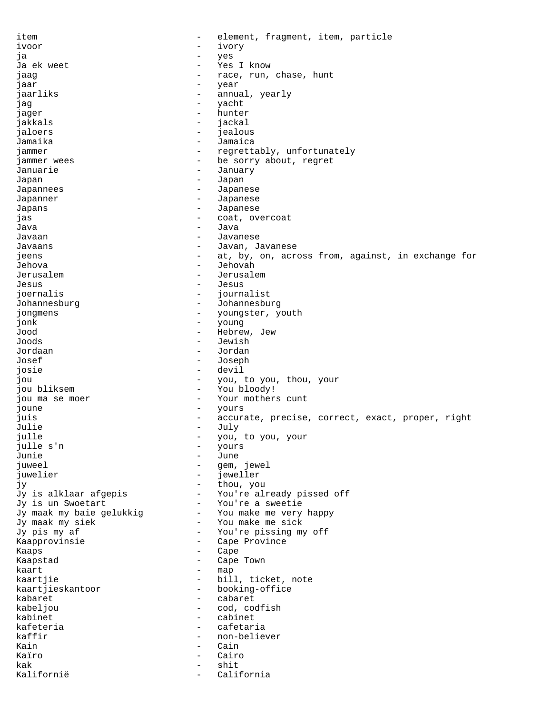item  $\qquad \qquad -$  element, fragment, item, particle ivoor - ivory ja - yes Ja ek weet  $-$  Yes I know jaag  $-$  race, run, chase, hunt jaar - year - year - year jaarliks - annual, yearly<br>iso jag - yacht - yacht - yacht - yacht - yacht - yacht - yacht - yacht - yacht - yacht - yacht - yacht - yacht - yacht - yacht - yacht - yacht - yacht - yacht - yacht - yacht - yacht - yacht - yacht - yacht - yacht - yacht jager - hunter<br>iakkals - iackal jakkals - jackal jaloers - jealous Jamaika - Jamaica jammer - regrettably, unfortunately jammer wees  $-$  be sorry about, regret Januarie - January Japan - Japan Japannees **-** Japanese Japanner - Japanese Japans - Japanese jas - coat, overcoat Java - Java - Java - Java - Java - Java - Java - Java - Java - Java - Java - Java - Java - Java - Java - Java -Javaan - Javanese Javaans - Javan, Javanese jeens extra - at, by, on, across from, against, in exchange for Jehova - Jehovah Jerusalem - Jerusalem Jesus - Jesus joernalis - journalist Johannesburg - Johannesburg jongmens - youngster, youth<br>
ionk - young jonk - young Hebrew, Jew Joods - Jewish Jordaan - Jordan Josef - Joseph josie - devil jou - you, to you, thou, your jou bliksem - You bloody! jou ma se moer  $-$  Your mothers cunt joune - yours juis exactle of the correct, exact, proper, right  $-$  accurate, precise, correct, exact, proper, right Julie - July julle  $\begin{array}{ccc} - & y \text{ou} & t \text{ou} \\ y \text{ou} & y \text{ou} \\ y \text{ou} & -y \text{ou} \\ z \text{ou} & -y \text{ou} \\ z \text{ou} & -y \text{ou} \\ z \text{ou} & -y \text{ou} \\ z \text{ou} & -y \text{ou} \\ z \text{ou} & -y \text{ou} \\ z \text{ou} & -y \text{ou} \\ z \text{ou} & -y \text{ou} \\ z \text{ou} & -y \text{ou} \\ z \text{ou} & -y \text{ou} \\ z \text{ou} & -y \text{ou} \\ z \text{ou} & -y \text{ou$ julle s'n - yours Junie - June juweel - gem, jewel juwelier - jeweller jy - thou, you Jy is alklaar afgepis - You're already pissed off<br>Jy is un Swoetart - You're a sweetie - You're a sweetie Jy maak my baie gelukkig - You make me very happy Jy maak my siek - You make me sick Jy pis my af  $-$  You're pissing my off Kaapprovinsie - Cape Province Kaaps - Cape<br>Kaapstad - Cape Kaapstad - Cape Town<br>kaart - The Barnes - Map kaart - map kaartjie - bill, ticket, note<br>kaartjieskantoor - - booking-office - booking-office kabaret - cabaret kabeljou - cod, codfish kabinet - cabinet - cabinet - cabinet - cabinet - cabinet - cabinet - cabinet - cabinet - cabinet - cabinet - cabinet - cabinet - cabinet - cabinet - cabinet - cabinet - cabinet - cabinet - cabinet - cabinet - cabinet - ca kafeteria - cafetaria kaffir  $-$  non-believer Kain - Cain - Cain - Cain - Cain - Cain - Cain - Cain - Cain - Cain - Cain - Cain - Cain - Cain - Cain - Cain Kaïro - Cairo kak - shit Kalifornië - California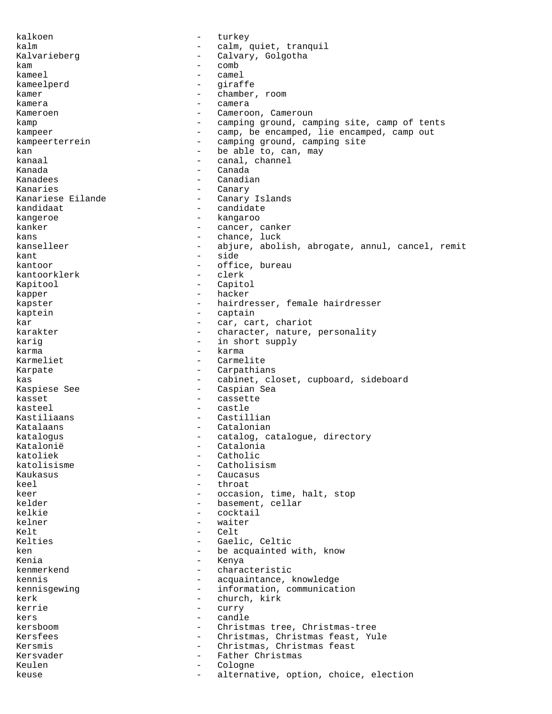kalkoen  $-$  turkey kalm  $-$  calm, quiet, tranquil Kalvarieberg - Calvary, Golgotha kam - comb kameel - camel<br>kameelnerd - camel kameelperd - giraffe<br>kamer - giraffe kamer - chamber, room<br>kamera kamera  $-$  camera Kameroen - Cameroon, Cameroun kamp  $-$  camping ground, camping site, camp of tents kampeer - camp, be encamped, lie encamped, camp out kampeerterrein - camping ground, camping site kan kan endeanger and the beable to, can, may kanaal - canal, channel Kanada - Canada Kanadees - Canadian Kanaries - Canary - Canary Islands kandidaat - candidate<br>kangaroo kangeroe - kangaroo - cancer, canker kans - chance, luck kanselleer - abjure, abolish, abrogate, annul, cancel, remit kant - side kantoor - office, bureau<br>kantoorklerk - clerk - clerk kantoorklerk Kapitool - Capitol kapper - hacker kapster - hairdresser, female hairdresser<br>kaptein - captain kaptein - captain kar  $-$  car, cart, chariot karakter - character, nature, personality karig  $-$  in short supply karma - karma Karmeliet - Carmelite<br>Karpate - Carpathia - Carpathians kas external cabinet, closet, cupboard, sideboard Kaspiese See - - Caspian Sea kasset - cassette kasteel - castle Kastiliaans - Castillian Katalaans - Catalonian katalogus - catalog, catalogue, directory<br>Katalonië - Catalonia Katalonië - Catalonia<br>
katoliek - Catholic katoliek - Catholic<br>katolisisme - Catholis - Catholisism<br>- Caucasus Kaukasus - Caucasus keel - throat keer - occasion, time, halt, stop kelder - basement, cellar kelkie - cocktail kelner - waiter Kelt - Celt Kelties - Gaelic, Celtic ken - be acquainted with, know<br>Kenia Kenia - Kenya<br>kenmerkend - Chara kenmerkend - characteristic kennis <br/>  $\,$  -  $\,$  acquaintance, knowledge kennis<br/>gewing  $\,$  -  $\,$  information, communicat - information, communication kerk - church, kirk<br>kerrie - curry kerrie - curry kers - candle - candle - candle - candle - candle - candle - candle - candle - candle - candle - candle - candle - candle - candle - candle - candle - candle - candle - candle - candle - candle - candle - candle - candle kersboom - Christmas tree, Christmas-tree Kersfees - Christmas, Christmas feast, Yule Kersmis - Christmas, Christmas feast Kersvader - Father Christmas Keulen - Cologne keuse  $\qquad \qquad -$  alternative, option, choice, election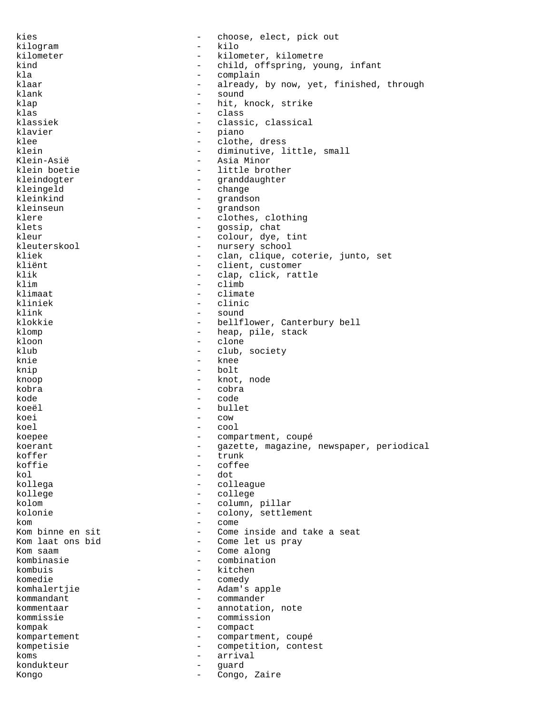kies - choose, elect, pick out kilogram - kilo kilometer - kilometer, kilometre kind - child, offspring, young, infant<br>kla kla - complain klaar  $\begin{array}{ccc} - & \text{already, by now, yet, finished, through} \\ - & \text{sound} \end{array}$ klank - sound<br>klap - hit. klap - hit, knock, strike<br>
klas - class class klassiek - classic, classical klavier – piano – piano – piano – piano – piano – piano – piano – piano – piano – piano – piano – piano – piano – piano – piano – piano – piano – piano – piano – piano – piano – piano – piano – piano – piano – piano – pian klee - clothe, dress<br>klein - clothe, dress<br>- diminutive. 1 - diminutive, little, small Klein-Asië - Asia Minor klein boetie  $-$  little brother kleindogter en meddaughter - granddaughter kleingeld - change<br>kleinkind - crands kleinkind - grandson kleinseun - grandson klere  $\qquad \qquad -$  clothes, clothing<br>klets - qossip, chat klets - gossip, chat<br>
kleur - colour. dve. - colour, dye, tint kleuterskool - nursery school kliek - clan, clique, coterie, junto, set<br>kliënt - client, customer kliënt - client, customer<br>klik - clap, click, rat - clap, click, rattle klim - climb klimaat - climate kliniek - clinic klink - sound - bellflower, Canterbury bell klomp - heap, pile, stack<br>kloon - clone - clone  $\begin{array}{ccc}\n\text{kloon} & - & \text{clone} \\
\text{klub} & - & \text{club.} \\
\end{array}$ club, society knie - knee knip - bolt knoop - knot, node kobra - cobra kode - code koeël - bullet koei - cow koel - cool koepee - compartment, coupé koerant - gazette, magazine, newspaper, periodical<br>
koffer koffer - trunk koffie - coffee - coffee - coffee - coffee - coffee - coffee - coffee - coffee - coffee - coffee - coffee - coffee - coffee - coffee - coffee - coffee - coffee - coffee - coffee - coffee - coffee - coffee - coffee - coffee - dot kollega - colleague kollege - college kolom  $\sim$  - column, pillar kolonie - colony, settlement kom - come Kom binne en sit - Come inside and take a seat - Come let us pray Kom saam  $\overline{a}$  - Come along<br>kombinasie - Combination kombinasie - combination<br>
kombuis - kitchen kombuis - kitchen<br>komedie - comedy komedie - comedy<br>komhalertjie - Adam's - Adam's apple kommandant - commander kommentaar - annotation, note kommissie - commission kompak - compact kompartement - compartment, coupé<br>
kompetisie - competition conte kompetisie - competition, contest koms - arrival kondukteur - guard Kongo  $-$  Congo, Zaire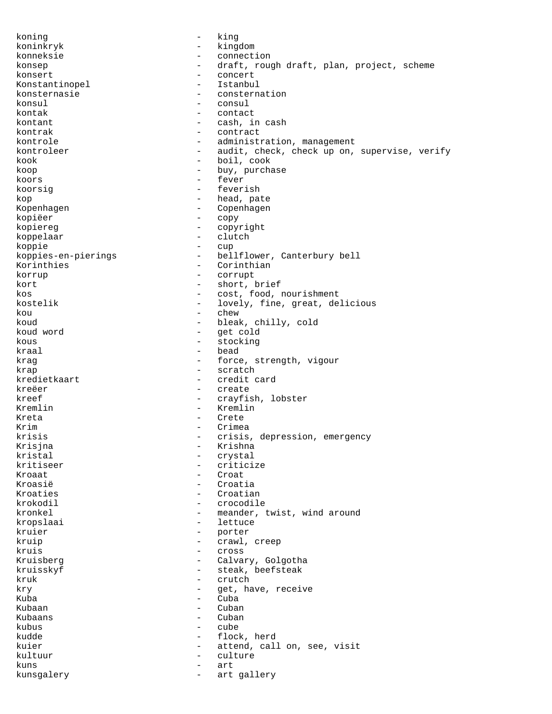koning - king koninkryk - kingdom konneksie - connection konsep - draft, rough draft, plan, project, scheme konsert - concert<br>Konstantinopel - Istanbul Konstantinopel - Istanbulle - Istanbulle - Istanbulle - Istanbulle - Istanbulle - Istanbulle - Istanbulle - Istanbulle - Istanbulle - Istanbulle - Istanbulle - Istanbulle - Istanbulle - Istanbulle - Istanbulle - Istanbulle konsternasie - consternation konsul - consul - contact kontant  $-$  cash, in cash kontrak - contract - administration, management kontroleer - audit, check, check up on, supervise, verify kook - boil, cook koop - buy, purchase koors - fever koorsig - feverish kop - head, pate - Copenhagen kopiëer - copy<br>kopiereg - copy - copyright koppelaar - clutch koppie - cup koppies-en-pierings - bellflower, Canterbury bell Korinthies - Corinthian<br>korrup - Corrupt - Corrupt korrup - corrupt - corrupt kort - short, brief<br>kos - cost. food. kos - cost, food, nourishment kostelik - lovely, fine, great, delicious kou - chew koud - bleak, chilly, cold koud word  $\qquad \qquad -$  get cold<br>kous kous - stocking - bead krag  $\qquad \qquad -$  force, strength, vigour krap - scratch<br>
kredietkaart - credit d - credit card kreëer - create kreef - crayfish, lobster Kremlin - Kremlin Kreta - Crete Krim - Crimea krisis - crisis, depression, emergency<br>Krisina - Krishna Krisjna - Krishna - Krishna - Krishna - Krishna - Krishna - Krishna - Krishna - Krishna - Krishna - Krishna kristal - crystal - criticize<br>- Croat Kroaat - Croat Kroasië  $\overline{c}$  - Croatia Kroaties - Croatian krokodil - crocodile kronkel  $\qquad \qquad \qquad -$  meander, twist, wind around kropslaai - lettuce kruier - porter kruip  $-$  crawl, creep kruis - cross Kruisberg - Calvary, Golgotha kruisskyf - steak, beefsteak<br>kruk - steak, beefsteak kruk - crutch - crutch - crutch - crutch - crutch - crutch - crutch - crutch - crutch - crutch - crutch - crutch - crutch - crutch - crutch - crutch - crutch - crutch - crutch - crutch - crutch - crutch - crutch - crutch kry  $\begin{array}{ccc} - & \text{get, have, receive} \\ - & \text{with} \end{array}$ Kuba - Cuba - Cuba - Cuba - Cuba - Cuba - Cuba - Cuba - Cuba - Cuba - Cuba - Cuba - Cuba - Cuba - Cuba - Cuba Kubaan - Cuban - Cuban - Cuban - Cuban - Cuban - Cuban - Cuban - Cuban - Cuban - Cuban - Cuban - Cuban - Cuban  $Kuhaans$  - Cubans kubus - cube kudde - flock, herd kuier - attend, call on, see, visit kultuur - culture kuns - art kunsgalery - art gallery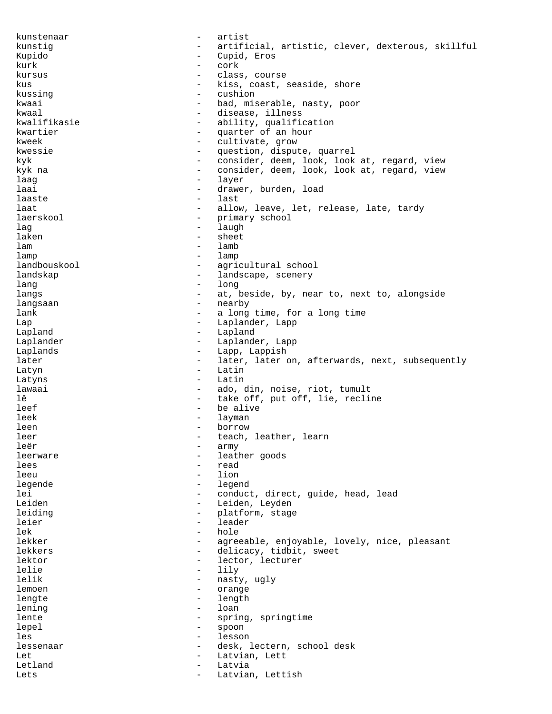kunstenaar - artist kunstig  $-$  artificial, artistic, clever, dexterous, skillful Kupido - Cupid, Eros kurk - cork - cork kursus - class, course kus - kiss, coast, seaside, shore<br>kussing - cushion - cushion kussing  $-$  cushion kwaai - bad, miserable, nasty, poor<br>kwaal - disease, illness - disease, illness kwalifikasie - ability, qualification kwartier - quarter of an hour kweek - cultivate, grow kwessie - question, dispute, quarrel kyk - consider, deem, look, look at, regard, view kyk na - consider, deem, look, look at, regard, view laag - layer - layer laai - drawer, burden, load<br>laaste - last - last laaste – laaste – laaste – laaste – laaste – laaste – laaste – laaste – laaste – laaste – laaste – laaste – la laat 1000 - allow, leave, let, release, late, tardy laerskool - primary school - primary school - primary school - primary school - primary school - primary school - primary school - primary school - primary school - primary school - primary school - primary school - primar lag - laugh - laugh - laugh - laugh - laugh - laugh - laugh - laugh - laugh - laugh - laugh - laugh - laugh - - sheet lam  $-$  lamb lamp  $-$  lamp landbouskool - agricultural school landskap <br/> - landscape, scenery lang - long langs and the state of the state of the state of the state of the state of the state of the state of the state langsaan - nearby lank - a long time, for a long time Lap - Laplander, Lapp Lapland Laplander - Laplander, Lapp Laplands - Lapp, Lappish later  $\qquad \qquad -$  later, later on, afterwards, next, subsequently Latyn - Latin - Latin Latyns **Latin** lawaai  $\qquad \qquad \qquad -$  ado, din, noise, riot, tumult lê  $-$  take off, put off, lie, recline leef - be alive leek - layman - layman leen - borrow - borrow leer - teach, leather, learn<br>learn - teach, leather, learn leër - army leerware - leather goods lees - read - lion legende - legend lei - conduct, direct, guide, head, lead Leiden - Leiden, Leyden leiding  $-$  platform, stage leier - leader lek - hole lekker - agreeable, enjoyable, lovely, nice, pleasant lekkers **and a contract of the contract of the delicacy**, tidbit, sweet lektor - lector, lecturer<br>
lelie - lily - lily lelie - lily - lily - lily - lily - lily - lily - lily - lily - lily - lily - lily - lily - lily - lily - lily - nasty, ugly<br>- orange lemoen - orange<br>lengte - length<br>- length lengte - length lening  $-$  loan lente  $-$  spring, springtime lepel - spoon les - lesson lessenaar - desk, lectern, school desk Let  $-$  Latvian, Lett Letland - Latvia Lets **Letting Letting Letting Letting Letting** Letting Letting Letting Letting Letting Letting Letting Letting Letting Letting Letting Letting Letting Letting Letting Letting Letting Letting Letting Letting Letting Letting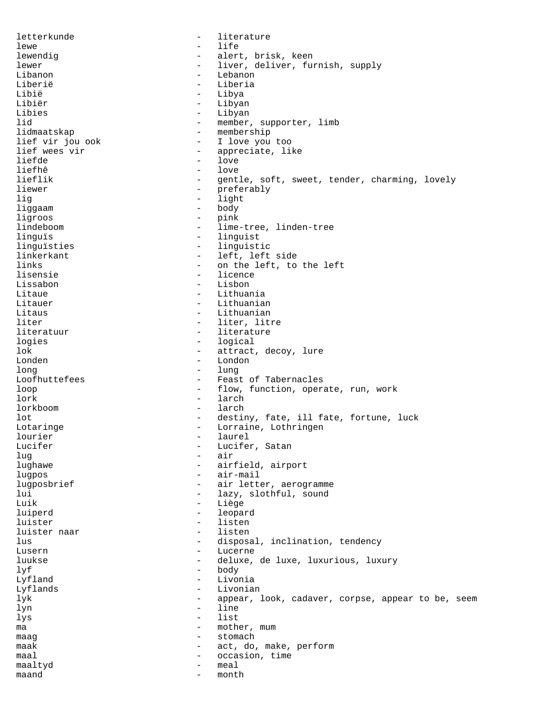letterkunde - literature lewe - life - life - life - life - life - life - life - life - life - life - life - life - life - life - life - life - life - life - life - life - life - life - life - life - life - life - life - life - life - life - life - alert, brisk, keen lewer - liver, deliver, furnish, supply Libanon - Lebanon Liberië - Liberia<br>Libië - Libria - Libria Libië - Libya - Libya - Libya - Libya - Libya - Libya - Libya - Libya - Libya - Libya - Libya - Libya - Libya <br>Ilihiër - Libya - Libya - Libya - Libya - Libya - Libya - Libya - Libya - Libya - Libya - Libya - Libya - Libya Libiër - Libyan Libies - Libyan - Libyan - Libyan - Libyan - Libyan - Libyan - Libyan - Libyan - Libyan - Libyan - Libyan - Libyan - Libyan - Libyan - Libyan - Libyan - Libyan - Libyan - Libyan - Libyan - Libyan - Libyan - Libyan - Libyan lid 11 member, supporter, limb<br>11 dmaatskap 11 membership lidmaatskap - membership<br>lief vir jou ook - I love you lief vir jou ook and the set of the line of the line of the line of the line of the line of the line of the li<br>- appreciate line of the line of the line of the line of the line of the line of the line of the line of the l - appreciate, like<br>- love liefde - love liefhê - love<br>lieflik - sent lieflik - gentle, soft, sweet, tender, charming, lovely<br>liewer - preferably liewer – preferably<br>
lig – light<br>
– light lig - light liggaam - body ligroos<br>lindeboom lindeboom - lime-tree, linden-tree<br>linguis - linguist - linguist linguïsties - linguistic linkerkant - left, left side<br>links - on the left, to links - on the left, to the left<br>lisensie - licence lisensie - licence Lissabon - Lisbon Litaue - Lithuania Litauer - Lithuanian Litaus - Lithuanian<br>1iter - Philip - Lithuanian<br>- Liter - Liter Liter liter, litre literatuur - literature logies - logical - logical - logical - logical - logical - logical - logical - logical - logical - logical - lo - attract, decoy, lure Londen - London long - lung Loofhuttefees - Feast of Tabernacles loop - flow, function, operate, run, work lork - larch lorkboom - larch lot  $-$  destiny, fate, ill fate, fortune, luck Lotaringe **- Lorraine**, Lothringen lourier - laurel Lucifer, Satan lug - air<br>lughawe - air - air - airfield, airport lugpos - air-mail lugposbrief  $\qquad \qquad -$  air letter, aerogramme lui - lazy, slothful, sound<br>
- Liège - Liège - Liège luiperd - leopard luister - listen luister naar lus - disposal, inclination, tendency Lusern - Lucerne - Lucerne - Lucerne - Lucerne - Lucerne - Lucerne - Lucerne - Lucerne - Lucerne - Lucerne - Lucerne - Lucerne - Lucerne - Lucerne - Lucerne - Lucerne - Lucerne - Lucerne - Lucerne - Lucerne - Lucerne - Luc luukse - deluxe, de luxe, luxurious, luxury lyf - body Livonia Lyflands - Livonian lyk - appear, look, cadaver, corpse, appear to be, seem - line lys - list ma  $-$  mother, mum maag - stomach maak act, do, make, perform maal - occasion, time maaltyd - meal  $\qquad \qquad \text{mand} \qquad \qquad - \quad \text{month}$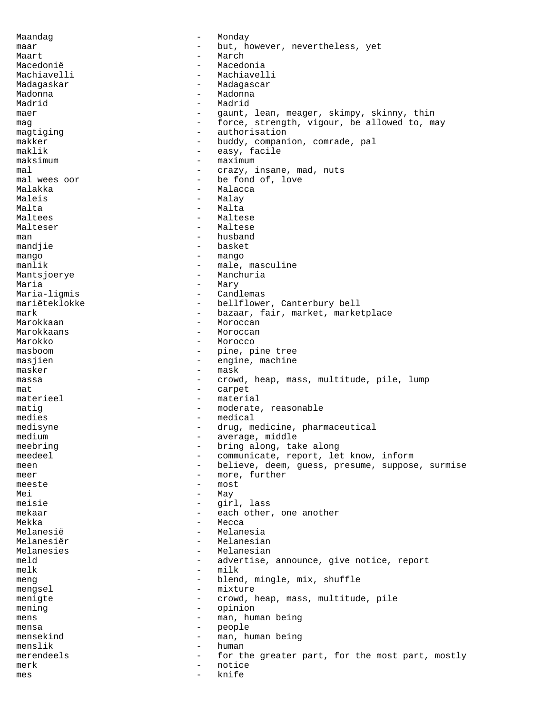Maandag **- Monday** maar - but, however, nevertheless, yet<br>Maart - March Maart - March Macedonië  $-$  Macedonia Machiavelli - Machiavelli Madagaskar **- Madagascar** - Madagascar Madonna - Madonna Madrid - Madrid maer example and the set of the gaunt, lean, meager, skimpy, skinny, thin mag mag - force, strength, vigour, be allowed to, may magtiging  $-$  authorisation makker - buddy, companion, comrade, pal maklik - easy, facile maksimum - maximum - maximum mal  $\begin{array}{ccc}\n & - & \text{cr 1} \\
 & - & \text{cr 2} \\
\text{mall } \text{wees } \text{oor}\n\end{array}$  -  $\begin{array}{ccc}\n & - & \text{cr 2} \\
 \text{be } \text{fond of, love}\n\end{array}$ - be fond of, love Malakka - Malacca Maleis - Malay Malta  $-$  Malta Maltees **- Maltese** Malteser - Maltese man - husband mandjie  $-$  basket mango - mango - mango manlik  $-$  male, masculine Mantsjoerye **- Manchuria** Maria - Mary<br>Maria-ligmis - Cand Maria-ligmis - Candlemas mariëteklokke - bellflower, Canterbury bell mark - bazaar, fair, market, marketplace<br>Marokkaan - Moroccan - Moroccan - Moroccan<br>- Moroccan Marokkaans - Moroccan Marokko - Morocco masboom - pine, pine tree<br>masjien - pine, pine tree masjien - engine, machine masker - mask massa end a crowd, heap, mass, multitude, pile, lump mat - carpet materieel - material matig  $-$  moderate, reasonable medies - medical medisyne - drug, medicine, pharmaceutical medium - average, middle<br>meebring - bring along tal meebring  $\begin{array}{ccc}\n-\text{being along, take along} \\
-\text{coson} \\
-\text{coson} \\
-\text{coson} \\
-\text{coson} \\
-\text{coson} \\
-\text{coson} \\
-\text{coson} \\
-\text{coson} \\
-\text{coson} \\
-\text{coson} \\
-\text{coson} \\
-\text{coson} \\
-\text{coson} \\
-\text{coson} \\
-\text{coson} \\
-\text{coson} \\
-\text{coson} \\
-\text{coson} \\
-\text{coson} \\
-\text{coson} \\
-\text{coson} \\
-\text{coson} \\
-\text{coson} \\
-\text{coson} \\
-\text{coson} \\
-\text{coson} \\
-\text{coson} \\
-\text{coson$ meedeel - communicate, report, let know, inform meen en aangelieve, deem, guess, presume, suppose, surmise meer - more, further meeste – most<br>Mai – May – May Mei - May meisie - girl, lass mekaar - each other, one another Mekka - Mecca Melanesië  $-$  Melanesia Melanesiër - Melanesian<br>Melanesies - Melanesian<br>- Melanesian - Melanesian<br>- advertise meld - advertise, announce, give notice, report<br>
- milk<br>
- milk  $m \geq 1$  milk  $m \geq 1$  milk  $m \geq 1$ meng  $\qquad \qquad - \qquad$  blend, mingle, mix, shuffle mengsel – mixture<br>menigte – crowd – crowd menigte  $-$  crowd, heap, mass, multitude, pile mening  $-$  opinion mens - man, human being mensa - people mensekind - man, human being menslik - human merendeels - for the greater part, for the most part, mostly merk - notice mes - knife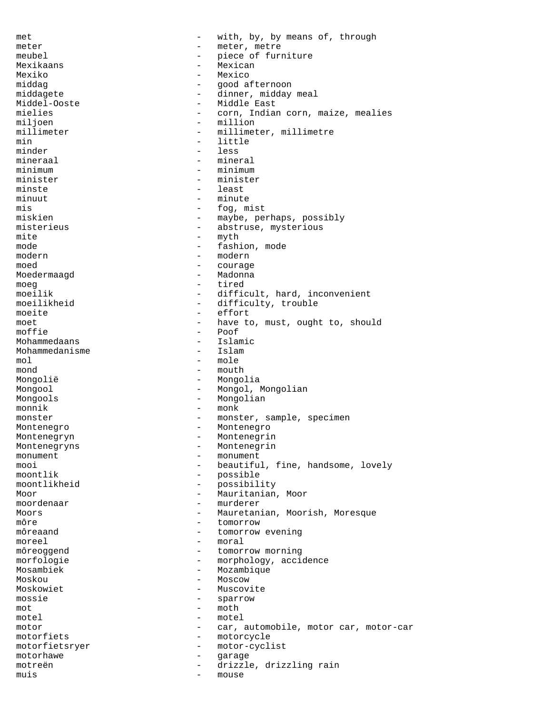met - with, by, by means of, through meter - meter, metre<br>meubel - piece of further meubel - piece of furniture<br>Mexikaans - Mexican - Mexican Mexikaans - Mexikaans - Mexikaans - Mexikaans - Mexikaans - Mexikaans - Mexikaans - Mexikaans - Mexikaans - Me Mexiko - Mexico - Mexico - Mexico - Mexico - Mexico - Mexico - Mexico - Mexico - Mexico - Mexico - Mexico - Mexico - Mexico - Mexico - Mexico - Mexico - Mexico - Mexico - Mexico - Mexico - Mexico - Mexico - Mexico - Mexico middag  $-$  good afternoon middagete - dinner, midday meal<br>Middel-Ooste - Middle East Middel-Ooste - Middle East<br>mielies - Corn, India - corn, Indian corn, maize, mealies miljoen - million<br>millimeter - millimeter - millimet - millimeter, millimetre min - little minder - less less mineraal - mineral minimum - minimum minister - minister minste - least<br>minuut - least<br>- minuut - minute - minute mis - fog, mist miskien - maybe, perhaps, possibly<br>misterieus - abstruse, mysterious misterieus - abstruse, mysterious<br>mite - myth mode  $-$  fashion, mode modern – modern – modern – modern – modern – modern – modern – modern – modern – modern – modern – modern – modern – modern – modern – modern – modern – modern – modern – modern – modern – modern – modern – modern – modern moed - courage Moedermaagd moeg - tired moeilik - difficult, hard, inconvenient moeilikheid - difficulty, trouble moeite - effort<br>moet - have to moet - have to, must, ought to, should<br>moffie - Poof - Poof<br>- Islamic Mohammedaans - Islam<br>Mohammedanisme - Islam Mohammedanisme  $mol - mol<sub>e</sub>$  $mond$   $-$  mouth Mongolië - Mongolia Mongool - Mongol, Mongolian Mongools - Mongolian monnik – monk<br>monster – monster – monst monster - monster, sample, specimen Montenegro **-** Montenegro Montenegryn - Montenegrin Montenegryns - Montenegrin monument - monument mooi - beautiful, fine, handsome, lovely<br>moontlik - possible - possible - possible<br>- possibili moontlikheid - possibility Moor - Mauritanian, Moor moordenaar - murderer Moors **Mauretanian, Moorish, Moresque - Mauretanian, Moorish, Moresque** môre - tomorrow môreaand  $\qquad \qquad -$  tomorrow evening moreel - moral môreoggend - tomorrow morning<br>morfologie - mornbology acci morfologie - morphology, accidence<br>Mosambiek - Mozambigue Mosambiek - Mozambique Moskou - Moscow Moskowiet - Muscovite mossie - sparrow  $m \circ t$  - moth  $\begin{array}{ccc}\n\text{model} & - & \text{model} \\
\text{motor} & - & \text{car}\n\end{array}$ motor - car, automobile, motor car, motor-car motorfiets - motorcycle<br>motorfietsryer - motor-cycl motorfietsryer - motor-cyclist motorhawe - garage motreën - drizzle, drizzling rain muis - mouse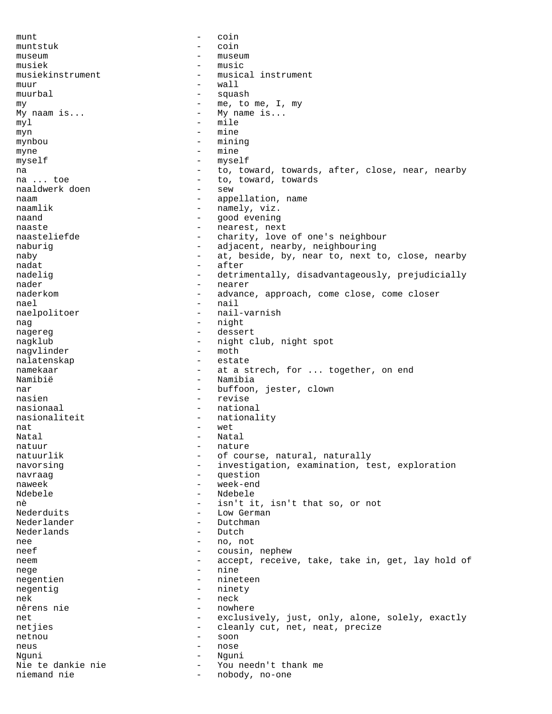munt - coin muntstuk - coin museum extensive museum and the museum of the museum of the museum of the museum of the museum of the museum of the museum of the museum of the museum of the museum of the museum of the museum of the museum of the museum o musiek - music musiekinstrument - musical instrument<br>muur - wall muur  $-$  wall muurbal - squash my  $\begin{array}{ccccccc}\nmy & & & & - & m e, & \text{to} & \text{me}, & \text{I}, & \text{my} \\
\text{My naam is} & \ddots & & & & - & \text{My name is} \ldots\n\end{array}$ -  $My$  name is...  $my1$  - mile myn - mine mynbou - mining myne - mine myself - myself na and to, toward, towards, after, close, near, nearby na ... toe extensive to to, toward, towards naaldwerk doen - sew naam - appellation, name<br>
naamlik - namelv, viz. - namely, viz.<br>- good evening naand - good evening naaste - nearest, next<br>naasteliefde - - - - - - - - - - charity, love - charity, love of one's neighbour naburig - adjacent, nearby, neighbouring naby extended to the state of the state of the state of the state of the state of the state of the state of the state of the state of the state of the state of the state of the state of the state of the state of the state nadat - after nadelig - detrimentally, disadvantageously, prejudicially nader - nearer naderkom - advance, approach, come close, come closer nael - nail<br>naelnolitoer - nail.<br>- nail. naelpolitoer - nail-varnish<br>nag - night nag - night<br>nagereg nagereg extending the set of the dessert nagklub - night club, night spot<br>nagvlinder - moth - moth nagvlinder - moth nalatenskap namekaar - at a strech, for ... together, on end Namibië - Namibia nar  $-$  buffoon, jester, clown nasien - revise nasionaal - national nasionaliteit - nationality nat example and the set of the set of the set of the set of the set of the set of the set of the set of the set of the set of the set of the set of the set of the set of the set of the set of the set of the set of the set Natal - Natal - Natal - Natal - Natal - Natal - Natal - Natal - Natal - Natal - Natal - Natal - Natal - Natal - Natal - Natal - Natal - Natal - Natal - Natal - Natal - Natal - Natal - Natal - Natal - Natal - Natal - Natal natuur - nature - nature - nature - nature - nature - nature - nature - nature - nature - nature - nature - nature - nature - nature - nature - nature - nature - nature - nature - nature - nature - nature - nature - nature natuurlik - of course, natural, naturally navorsing examination, examination, test, exploration navraag - question<br>naweek - week-end naweek - week-end Ndebele - Ndebele nè - isn't it, isn't that so, or not Nederduits - Low German Nederlander - Dutchman Nederlands - Dutch - Dutch - Dutch - Dutch - Dutch - Dutch - Dutch - Dutch - Dutch - Dutch - Dutch - Dutch - D nee - no, not neef - cousin, nephew<br>neem - accept receive neem - accept, receive, take, take in, get, lay hold of nege - nine - nine - nine - nine - nine - nine - nine - nine - nine - nine - nine - nine - nine - nine - nine - nine - nine - nine - nine - nine - nine - nine - nine - nine - nine - nine - nine - nine - nine - nine - nine negentien negentig - ninety nek eta erroren egineak eta ezkontzailea ezkontzailea zituen ezkontzailea zituen ezkontzailea zituen ezkontzai nêrens nie - nowhere - nowhere - nowhere - nowhere - nowhere - nowhere - nowhere - nowhere - nowhere - nowhere - nowhere  $-$  nowhere  $-$  nowhere  $-$  nowhere  $-$  nowhere  $-$  nowhere  $-$  nowhere  $-$  nowhere  $-$  nowhere  $-$  n net exclusively, just, only, alone, solely, exactly netjies - cleanly cut, net, neat, precize netnou - soon neus - nose Nguni - Nguni You needn't thank me niemand nie  $-$  nobody, no-one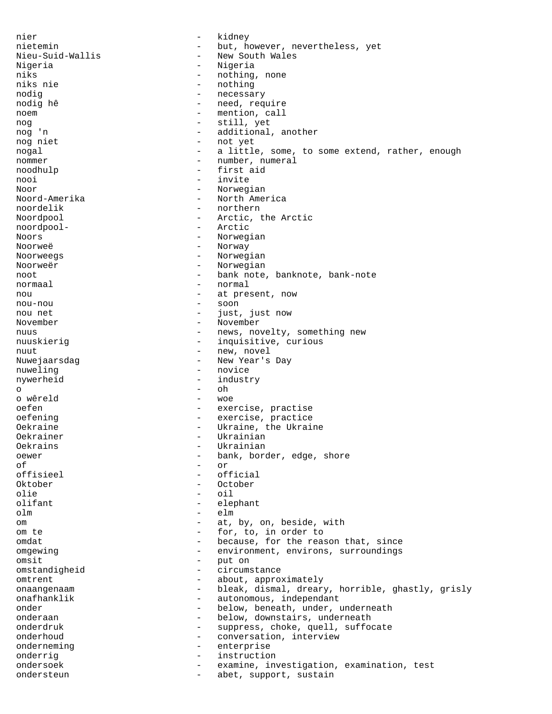nier - kidney nietemin - but, however, nevertheless, yet Nieu-Suid-Wallis - New South Wales Nigeria  $-$  Nigeria niks  $\begin{array}{ccc} - & \text{nothing} \\ - & \text{nothing} \end{array}$  , more niks nie - nothing nodig - necessary - necessary nodig hê  $-$  need, require noem - mention, call nog  $\begin{array}{ccc} \n 1 & - & \text{still, yet} \\
 - & - & \text{additional} \\
 \end{array}$ - additional, another nog niet - not yet nogal  $-$  a little, some, to some extend, rather, enough nommer - number, numeral noodhulp - first aid nooi - invite Noor - Norwegian<br>Noord-Amerika - - North Ame: - North America noordelik - northern Noordpool - Arctic, the Arctic noordpool-<br>Noors - Arctic<br>- Norweg - Norwegian Noorweë - Norway Noorweegs **-** Norwegian Noorweër - Norwegian noot - bank note, banknote, bank-note normaal - normal - normal nou  $-$  at present, now nou-nou - soon nou net  $-$  just, just now November - November nuus - news, novelty, something new nuuskierig  $-$  inquisitive, curious nuut - new, novel Nuwejaarsdag entry and the New Year's Day nuweling  $-$  novice nywerheid - industry  $\circ$  -  $\circ$  -  $\circ$  -  $\circ$  -  $\circ$  -  $\circ$  -  $\circ$  -  $\circ$  -  $\circ$  -  $\circ$  -  $\circ$  -  $\circ$  -  $\circ$  -  $\circ$  -  $\circ$  -  $\circ$  -  $\circ$  -  $\circ$  -  $\circ$  -  $\circ$  -  $\circ$  -  $\circ$  -  $\circ$  -  $\circ$  -  $\circ$  -  $\circ$  -  $\circ$  -  $\circ$  -  $\circ$  -  $\circ$  -  $\circ$  -  $\circ$ o wêreld - woe oefen - exercise, practise oefening exercise, practice Oekraine - Ukraine, the Ukraine Oekrainer - Ukrainian Oekrains - Ukrainian<br>
Oewer - Hank bord<br>
- bank bord oewer - bank, border, edge, shore of of  $\overline{c}$  of  $\overline{c}$  of  $\overline{c}$  of  $\overline{c}$  of  $\overline{c}$ - official Oktober - October olie - oil<br>olifant - oil - oil - elephant olm - elm om  $-$  at, by, on, beside, with om te - for, to, in order to omdat - because, for the reason that, since omgewing - environment, environs, surroundings<br>
- put on<br>
- put on omsit - put on<br>omstandigheid - circums omstandigheid - circumstance omtrent - about, approximately onaangenaam and the bleak, dismal, dreary, horrible, ghastly, grisly onafhanklik - autonomous, independant onder - below, beneath, under, underneath onderaan - below, downstairs, underneath onderdruk - suppress, choke, quell, suffocate onderhoud  $-$  conversation, interview onderneming enterprise onderrig - instruction ondersoek - examine, investigation, examination, test ondersteun - abet, support, sustain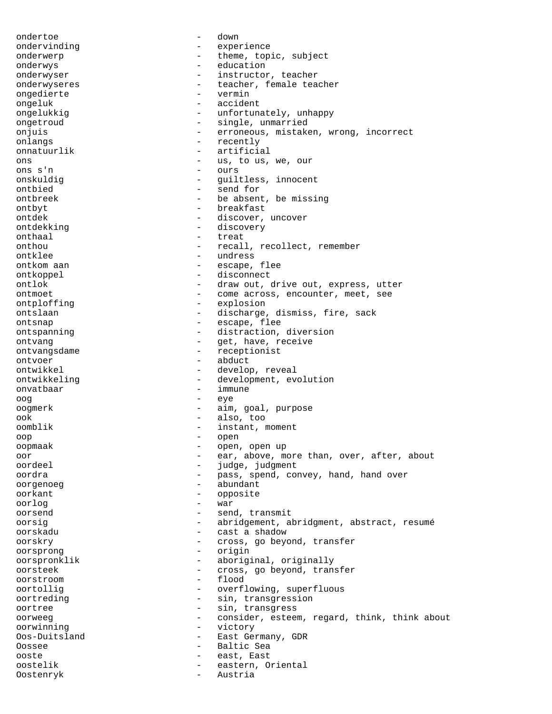ondertoe - down ondervinding experience and a serience onderwerp  $-$  theme, topic, subject onderwys - education onderwyser extending the instructor, teacher onderwyseres - teacher, female teacher<br>
onderte - vermin<br>
- vermin ongedierte ongeluk - accident ongelukkig  $-$  unfortunately, unhappy ongetroud - single, unmarried onjuis - erroneous, mistaken, wrong, incorrect onlangs - recently onnatuurlik - artificial ons  $-$  us, to us, we, our ons s'n - ours onskuldig  $\begin{array}{ccc} - & - & \text{gulltless, innocent} \\ - & - & \text{send for} \end{array}$ send for ontbreek - be absent, be missing<br>ontbyt<br>- breakfast ontbyt - breakfast ontdek - discover, uncover ontdekking - discovery onthaal - treat onthou - recall, recollect, remember ontklee - undress ontkom aan die escape, flee ontkoppel - disconnect ontlok - draw out, drive out, express, utter ontmoet - come across, encounter, meet, see ontploffing - explosion ontslaan - discharge, dismiss, fire, sack ontsnap - escape, flee ontspanning extending the distraction, diversion ontvang extended by the set, have, receive ontvangsdame - receptionist ontvoer abduct ontwikkel - develop, reveal ontwikkeling extended to the development, evolution onvatbaar - immune oog - eye oogmerk - aim, goal, purpose<br>ook - also too ook - also, too oomblik - instant, moment oop - open oopmaak - open, open up<br>oor oor  $-$  ear, above, more than, over, after, about<br>cordeal oordeel - judge, judgment oordra end a set of the pass, spend, convey, hand, hand over oorgenoeg - abundant oorkant - opposite<br>
oorlog - war oorlog - war oorsend - send, transmit oorsig - abridgement, abridgment, abstract, resumé oorskadu - cast a shadow oorskry extending the cross, go beyond, transfer oorsprong - origin<br>oorspronklik - aborigi oorspronklik - aboriginal, originally<br>
oorsteek - cross go beyond trans oorsteek - cross, go beyond, transfer oorstroom - flood oortollig - overflowing, superfluous<br>oortreding - sin, transgression - sin, transgression oortree - sin, transgress oorweeg - consider, esteem, regard, think, think about<br>oorwinning - victory<br>- victory oorwinning  $-$  victory Oos-Duitsland - East Germany, GDR Oossee - Baltic Sea ooste - east, East<br>
oostelik - eastern O oostelik - eastern, Oriental Oostenryk - Austria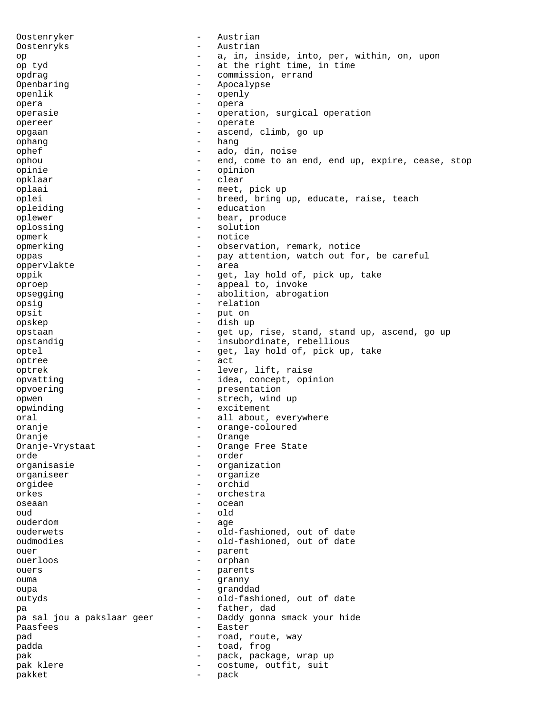Oostenryker - Austrian Oostenryks - Austrian op  $-$  a, in, inside, into, per, within, on, upon op tyd  $-$  at the right time, in time - at the right time, in time opdrag - commission, errand<br>Openbaring - commission, errand Openbaring - Apocalypse<br>
openlik<br>
- Openlik openlik - openly opera - opera operasie - operation, surgical operation<br>
- operate opereer - operate opgaan - ascend, climb, go up<br>
- hang<br>
- hang<br>
- hang ophang - hang ophef - ado, din, noise ophou - end, come to an end, end up, expire, cease, stop opinie - opinion opklaar - clear oplaai - meet, pick up oplei - breed, bring up, educate, raise, teach<br>
- education<br>
- education opleiding  $\begin{array}{ccc} - & - & - \\ 0 & - & - \end{array}$  education oplewer - bear, produce oplossing - solution opmerk - notice opmerking - observation, remark, notice oppas - pay attention, watch out for, be careful<br>oppervlakte - area oppervlakte oppik - get, lay hold of, pick up, take oproep - appeal to, invoke opsegging - abolition, abrogation<br>
opsig<br>
- relation<br>
- relation opsig - relation opsit - put on - put on - put on - put on - put on - put on - put on - put on - put on - put on - put on - put on - put on - put on - put on - put on - put on - put on - put on - put on - put on - put on - put on - put on opskep - dish up<br>
opstaan - dish up<br>
- det up opstaan - get up, rise, stand, stand up, ascend, go up opstandig - insubordinate, rebellious optel - get, lay hold of, pick up, take<br>
- act optree - act optrek - lever, lift, raise opvatting  $-$  idea, concept, opinion opvoering - presentation opwen - strech, wind up opwinding - excitement oral  $-$  all about, everywhere oranje - orange-coloured Oranje - Orange - Orange - Orange - Orange - Orange - Orange - Orange - Orange - Orange - Orange - Orange - Orange - Orange - Orange - Orange - Orange - Orange - Orange - Orange - Orange - Orange - Orange - Orange - Orange Oranje-Vrystaat - Orange Free State<br>
orde<br>
- Order orde - order organisasie - organization organiseer - organize orgidee - orchid orkes - orchestra oseaan - ocean - ocean oud - old ouderdom age age ouderwets - old-fashioned, out of date oudmodies - old-fashioned, out of date ouer - parent<br>
ouerloos - cycle - parent ouerloos - orphan ouers - parents<br>
oums - cranny ouma - granny oupa - granddad outyds - old-fashioned, out of date pa - father, dad pa sal jou a pakslaar geer - Daddy gonna smack your hide Paasfees - Easter pad  $\begin{array}{cccc} \text{pad} & \text{r} & \text{r} & \text{r} \\ \text{p} & \text{r} & \text{r} \\ \text{p} & \text{r} & \text{r} \\ \text{p} & \text{r} & \text{r} \\ \text{p} & \text{r} \\ \text{p} & \text{r} \\ \text{r} & \text{r} \\ \text{r} & \text{r} \\ \text{r} & \text{r} \\ \text{r} & \text{r} \\ \text{r} & \text{r} \\ \text{r} & \text{r} \\ \text{r} & \text{r} \\ \text{r} & \text{r} \\ \text{r} & \text{r} \\$ padda - toad, frog pak  $-$  pack, package, wrap up pak klere  $\qquad \qquad -$  costume, outfit, suit pakket - pack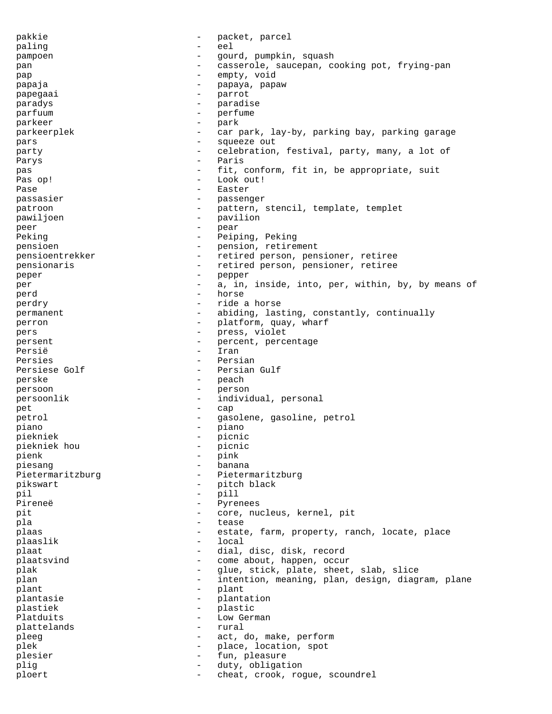pakkie - packet, parcel paling  $-$  eel pampoen - gourd, pumpkin, squash pan  $-$  casserole, saucepan, cooking pot, frying-pan pap - empty, void papaja - papaya, papaw papegaai - parrot<br>paradus - paradus - paradus paradys - paradise parfuum - perfume - perfume - perfume - perfume - perfume - perfume - perfume - perfume - perfume - perfume parkeer - park<br>narkeernlek - car parkeerplek - car park, lay-by, parking bay, parking garage pars - squeeze out party **-** celebration, festival, party, many, a lot of Parys - Paris pas  $-$  fit, conform, fit in, be appropriate, suit Pas op! - Look out! Pase - Easter passasier - passenger<br>
patroon - pattern patroon - pattern, stencil, template, templet<br>
- pavilion<br>
- pavilion pawiljoen - pavilion<br>neer - par peer - pear - pear Peking  $-$  Peiping, Peking pensioen - pension, retirement pensioentrekker - retired person, pensioner, retiree pensionaris - retired person, pensioner, retiree peper - pepper per external per the contract of the contract of the contract of the contract of the contract of the contract of the contract of the contract of the contract of the contract of the contract of the contract of the contract perd - horse perdry - ride a horse permanent  $-$  abiding, lasting, constantly, continually perron - platform, quay, wharf<br>
pers - press violet pers - press, violet<br>
persent persent persent persent persent persent persent persent persent persent persent persent persent persent persent persent persent persent persent persent person person person person person perso persent - percent, percentage<br>Persië Persië - Iran Persies - Persian Persiese Golf - Persian Gulf perske - peach persoon - person persoonlik - individual, personal pet - cap petrol - gasolene, gasoline, petrol piano - piano piekniek - picnic piekniek hou  $-$  picnic pienk  $-$  picnic pienk  $-$  pink  $-$  pink  $-$  pink  $$ pienk - pink<br>niesang - bana piesang  $-$  banana Pietermaritzburg - Pietermaritzburg pikswart - pitch black<br>nil - pitch black<br>- nill - nill pil - pill Pireneë - Pyrenees pit - core, nucleus, kernel, pit pla - tease plaas estate, farm, property, ranch, locate, place plaaslik - local plaat  $-$  dial, disc, disk, record plaatsvind  $\qquad \qquad -$  come about, happen, occur plak - glue, stick, plate, sheet, slab, slice<br>intention meaning plan design diagram plan - intention, meaning, plan, design, diagram, plane<br>- plant plant - plant<br>
plantasie - plantasie - plantasie plantasie - plantation<br>
plastiek - plastic<br>
- plastic plastiek - plastic<br>Platduits - Low German - Low German - Low German - Low German - Low German - Low German - Low German - Low German - Low German - Low German - Low German - Low German - Low German - Low German - Low Germa Low German plattelands - rural pleeg act, do, make, perform plek - place, location, spot plesier - fun, pleasure plig  $-$  duty, obligation ploert - cheat, crook, rogue, scoundrel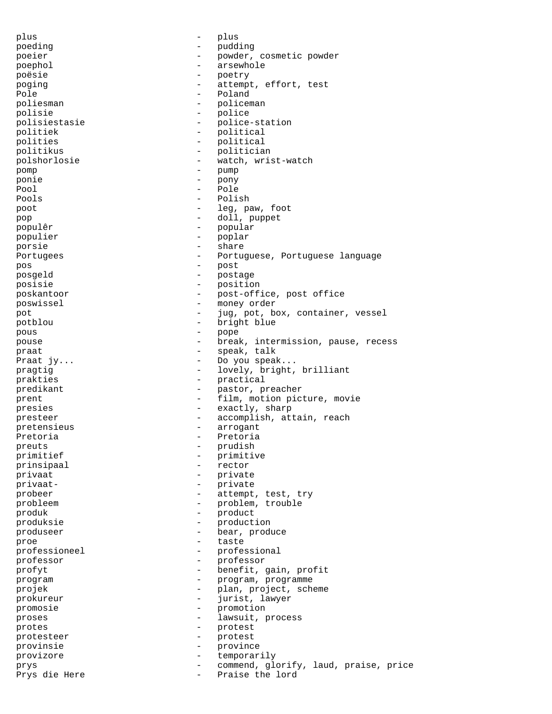plus - plus - plus poeding - pudding - pudding<br>poeier - powder poeier - powder, cosmetic powder poephol  $-$  arsewhole poësie - poetry poging  $\begin{array}{cccc} - & \text{attempt, effort, test} \\ - & \text{polar} \end{array}$ Pole - Poland - Poland - Poland - Poland - Poland - Poland - Poland - Poland - Poland - Poland - Poland - Poland - Poland - Poland - Poland - Poland - Poland - Poland - Poland - Poland - Poland - Poland - Poland - Poland poliesman - policeman - policeman - policeman - policeman - policeman - policeman - policeman - policeman - policeman - policeman - policeman - policeman - policeman - policeman - policeman - policeman - policeman - police polisie - police polisiestasie - police-station politiek - political polities - political politikus - politician polshorlosie - watch, wrist-watch pomp - pump ponie - pony Pool - Pole Pools - Polish poot  $-$  leg, paw, foot pop - doll, puppet populêr - popular populier - poplar porsie - share - share Portugees - Portuguese, Portuguese language pos - post posgeld - postage posisie - position<br>poskantoor - post-off poskantoor - post-office, post office poswissel - money order<br>pot - ing not be pot  $-$  jug, pot, box, container, vessel<br>nothlou potblou - bright blue - bright blue - bright blue - pope pous - pope pouse - break, intermission, pause, recess praat - speak, talk - Do you speak... pragtig  $-$  lovely, bright, brilliant prakties - practical predikant - pastor, preacher prent  $-$  film, motion picture, movie presies - exactly, sharp presteer - accomplish, attain, reach pretensieus - arrogant Pretoria  $-$  Pretoria preuts - prudish<br>primitief - primitief - primities primitief - primitive prinsipaal - rector privaat - private privaat- - private probeer - attempt, test, try probleem - problem, trouble produk - product produksie - production produseer - bear, produce proe - taste professioneel - professional<br>
professor<br>
- professor<br>
- professor professor - professor profyt - benefit, gain, profit program - program, programme projek - plan, project, scheme<br>
- iurist lawyer prokureur - jurist, lawyer<br>promosie - promotion promosie - promotion proses  $\qquad \qquad -$  lawsuit, process protes - protest protesteer - protest provinsie - province provizore - temporarily prys - commend, glorify, laud, praise, price Prys die Here - - - - - - - - - Praise the lord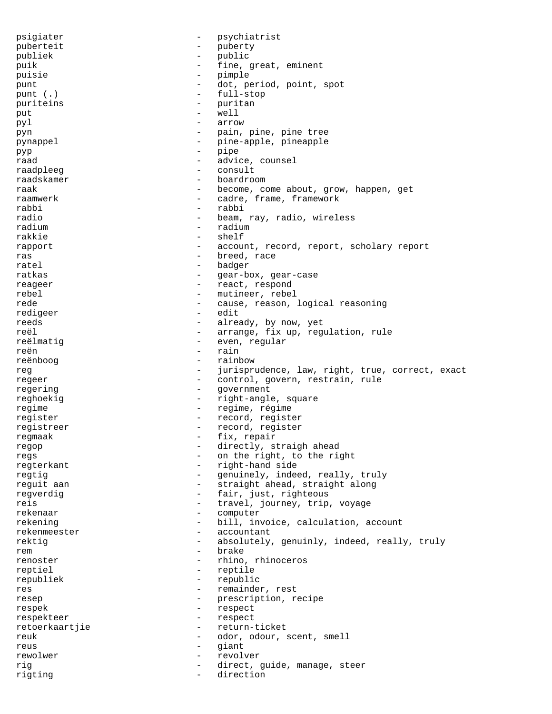psigiater - psychiatrist puberteit - puberty<br>
publiek - public publiek - public puik  $-$  fine, great, eminent puisie - pimple punt  $-$  dot, period, point, spot punt (.) - full-stop<br>nuxitains puriteins - puritan<br>
put - well<br>
- well put  $-$  well pyl - arrow pyn - pain, pine, pine tree pynappel - pine-apple, pineapple pyp - pipe raad - advice, counsel<br>raadpleed - consult raadpleeg - consult raadskamer - boardroom raak - become, come about, grow, happen, get raamwerk - cadre, frame, framework<br>rabbi - rabbi - rabbi rabbi - rabbi radio - beam, ray, radio, wireless radium - radium - radium rakkie - shelf rapport  $-$  account, record, report, scholary report ras - breed, race ratel  $\qquad \qquad -$  badger ratkas - gear-box, gear-case reageer - react, respond rebel - mutineer, rebel rede  $-$  cause, reason, logical reasoning redigeer - edit reeds - already, by now, yet<br>real - arrange fix up requ reël - arrange, fix up, regulation, rule<br>reëlmatiq reëlmatig  $-$  even, regular<br>reën  $-$  regular reën en metallise van de rain van de rain van de rain van de rain van de rain van de rain van de rain van de r reënboog - rainbow - rainbow<br>reg - iurispru reg external reg reg and the set of the set of the state of the state of the state of the state of the state o regeer - control, govern, restrain, rule regering  $-$  government reghoekig  $-$  right-angle, square regime  $-$  regime, régime register - record, register registreer - record, register regmaak - fix, repair<br>regon - directly st regop - directly, straigh ahead<br>regs - on the right to the right regs  $-$  on the right, to the right regterkant - right-hand side regtig  $-$  genuinely, indeed, really, truly reguit aan - straight ahead, straight along regverdig  $-$  fair, just, righteous reis  $-$  travel, journey, trip, voyage rekenaar - computer rekening  $-$  bill, invoice, calculation, account rekenmeester - accountant rektig  $-$  absolutely, genuinly, indeed, really, truly rem - brake renoster - rhino, rhinoceros reptiel - reptile republiek - republic res - remainder, rest resep  $-$  prescription, recipe respek - respect respekteer - respect retoerkaartjie - return-ticket reuk - odor, odour, scent, smell reus - giant rewolwer - revolver rig  $-$  direct, guide, manage, steer rigting - direction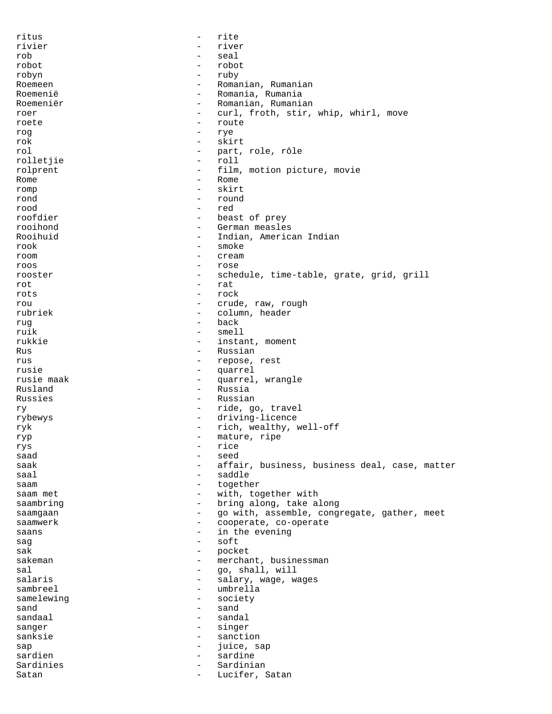ritus - rite rivier - river - river - river - river - river - river - river - river - river - river - river - river - river rob - seal robot - robot robyn - ruby Roemeen - Romanian, Rumanian<br>Roemenië - Romania, Rumania Romania, Rumania Roemeniër - Romanian, Rumanian<br>
roer - Curl froth stir roer - curl, froth, stir, whip, whirl, move<br>roete - route roete - route - route - route - route - route - route - route - route - route - route - route - route - route - route - route - route - route - route - route - route - route - route - route - route - route - route - route rog - rye rok - skirt<br>rol - part. rol - part, role, rôle rolletjie - roll rolprent  $\qquad \qquad -$  film, motion picture, movie Rome - Rome romp - skirt rond - round - round - round - round - round - red rood - red roofdier - beast of prey<br>rooihond - German measle rooihond - German measles - Indian, American Indian rook - smoke<br>room - cream room – cream – cream – cream – cream – cream – cream – cream – cream – cream – cream – cream – cream – cream – cream – cream – cream – cream – cream – cream – cream – cream – cream – cream – cream – cream – cream – cream – roos - rose rooster - schedule, time-table, grate, grid, grill rot - rat rots - rock rou - crude, raw, rough - column, header rug - back<br>ruik - mell ruik - smell<br>rukkie - instal rukkie - instant, moment Rus - Russian - Russian - Russian - Russian - Russian - Russian - Russian - Russian - Russian - Russian - Russian - Russian - Russian - Russian - Russian - Russian - Russian - Russian - Russian - Russian - Russian - Russia - repose, rest rusie  $\begin{array}{ccc} \text{raise}} & \text{matrix} \\ \text{raise}} & \text{matrix} \end{array}$ quarrel, wrangle Rusland - Russia Russies - Russian ry  $-$  ride, go, travel rybewys - driving-licence ryk - rich, wealthy, well-off ryp - mature, ripe<br>rys - rice<br>- rice rys - rice saad - seed - seed saak - affair, business, business deal, case, matter saddle saam - together saam met - with, together with saambring  $\qquad \qquad \qquad -$  bring along, take along saamgaan - go with, assemble, congregate, gather, meet saamwerk - cooperate, co-operate saans - in the evening sag - soft sak - pocket<br>sakeman - merchal sakeman - merchant, businessman<br>sal - merchant, businessman sal - go, shall, will - salary, wage, wages sambreel – umbrella<br>samelewing – society samelewing  $-$  society  $s$ and  $\frac{1}{s}$  sand  $\frac{1}{s}$  sand  $\frac{1}{s}$  sand  $\frac{1}{s}$  sand  $\frac{1}{s}$  sand  $\frac{1}{s}$  sand  $\frac{1}{s}$  sand  $\frac{1}{s}$  sand  $\frac{1}{s}$  sand  $\frac{1}{s}$  sand  $\frac{1}{s}$  sand  $\frac{1}{s}$  sand  $\frac{1}{s}$  sand  $\frac{1}{s}$  sand  $\frac{$ sandaal - sandaal - sandaal - sandaal - sandaal - sandaal - sandaal - sandaal - sandaal - sandaal - sandaal - sandaal - sandaal - sandaal - sandaal - sandaal - sandaal - sandaal - sandaal - sandaal - sandaal - sandaal - sa sanger - singer sanksie - sanction sap - juice, sap sardien - sardine Sardinies - Sardinian Satan - Lucifer, Satan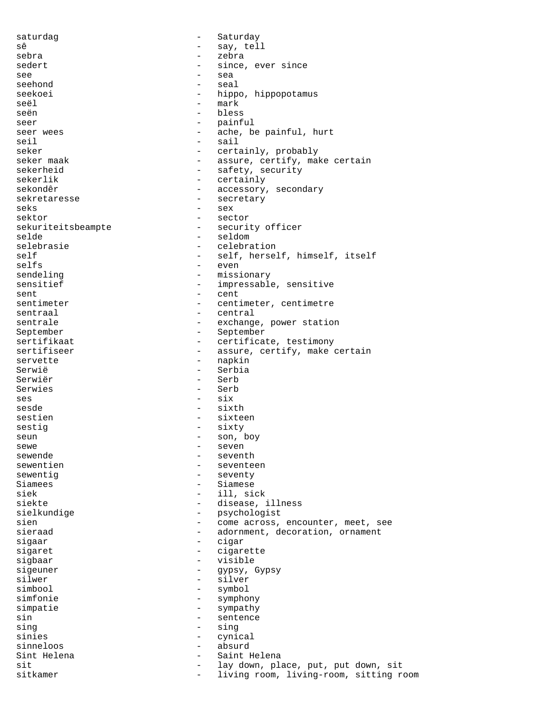saturdag extensive the Saturday sê - say, tell<br>sebra - say, tell<br>- zebra - sebra sebra - zebra sedert  $-$  since, ever since see - sea seehond - seal<br>seekoei - hinn seekoei - hippo, hippopotamus seël - mark - bless seer - painful seer wees  $\qquad \qquad -$  ache, be painful, hurt seil - sail seker - certainly, probably seker maak  $-$  assure, certify, make certain sekerheid - safety, security sekerlik - certainly sekondêr - accessory, secondary sekretaresse - secretary - secretary seks seks - sex sektor - sector<br>sekuriteitsbeampte - securi - security officer selde - seldom - seldom selebrasie - celebration self - self, herself, himself, itself<br>selfs - even - even sendeling  $-$  missionary sensitief  $-$  impressable, sensitive sent = cent<br>sentimeter = cent<br>= cent. sentimeter - centimeter, centimeter<br>sentraal - central - central - central<br>- exchange sentrale  $-$  exchange, power station September - September sertifikaat - certificate, testimony<br>sertifiseer - assure, certify, make - assure, certify, make certain servette - napkin Serwië - Serbia Serwiër - Serb Serwies - Serb  $ses$  -  $six$ sesde - sixth sestien - sixteen sestig - sixty seun - son, boy<br>sewe - seven sewe - seven<br>sewende - seven sewende - seventh sewentien en eenheid van de seventeen bewentigt is de seventeen en seventeen seventeen seventeen seventeen se sewentig  $-$  seventy Siamees - Siamees<br>siek - Siamese siek - ill, sick<br>siekte - disease. - disease, illness sielkundige - psychologist<br>sien - come across, sien - come across, encounter, meet, see sieraad - adornment, decoration, ornament sigaar - cigar sigaret - cigarette<br>sighaar - cigarette sigbaar - visible<br>sigeuner - visible<br>- avosy. sigeuner – gypsy, Gypsy<br>silwer – silver – silver silwer - silver - silver<br>simbool - symbol - symbol - symbol simfonie - symphony simpatie - sympathy sin - sentence<br>sing - sing - sing sing - sing - sing sinies - cynical sinneloos - absurd Sint Helena - Saint Helena - lay down, place, put, put down, sit sitkamer - living room, living-room, sitting room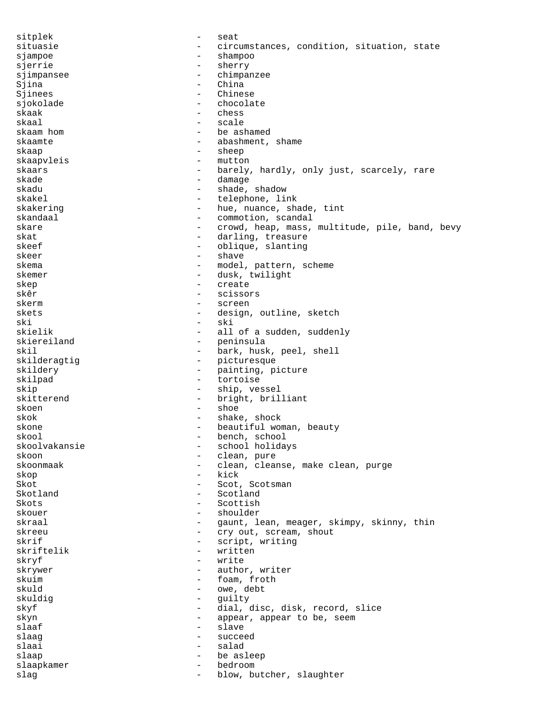sitplek - seat situasie and a circumstances, condition, situation, state sjampoe - shampoo sjerrie - sherry sjimpansee - chimpanzee Sjina - China<br>Siinees - China - Chinese Sjinees - Chinese - Chinese - Chinese - Chinese - Chinese - Chinese - Chinese - Chinese - Chinese sjokolade - chocolate skaak - chess skaal - scale skaam hom  $-$  be ashamed skaamte - abashment, shame skaap - sheep skaapvleis - mutton skaars staars and the barely, hardly, only just, scarcely, rare skade - damage - damage skadu - shade, shadow<br>skakel - shade, shadow<br>- telephone, li - telephone, link skakering  $-$  hue, nuance, shade, tint skandaal - commotion, scandal skare skare - crowd, heap, mass, multitude, pile, band, bevy<br>skat - darling treasure - darling, treasure skeef - oblique, slanting skeer - shave skema - model, pattern, scheme skemer - dusk, twilight skep - create skêr - scissors skerm - screen skets - design, outline, sketch<br>ski ski - ski - ski - ski - ski - ski - ski - ski - ski - ski - ski - ski - ski - ski - ski - ski - ski - ski - ski - ski - ski - ski - ski - ski - ski - ski - ski - ski - ski - ski - ski - ski - ski - ski - ski - ski - ski skielik - all of a sudden, suddenly<br>skiereiland - peninsula skiereiland - peninsula<br>skil - bark, husl skil - bark, husk, peel, shell<br>skilderagtig - - - - - - - - - picturesque - picturesque skildery - painting, picture skilpad - tortoise skip - ship, vessel skitterend - bright, brilliant skoen - shoe skok - shake, shock skone - beautiful woman, beauty<br>skool - bench, school - beautiful woman, beauty - bench, school<br>- school holida skoolvakansie - school holidays<br>skoon - clean pure skoon - clean, pure skoonmaak - clean, cleanse, make clean, purge skop - kick Skot - Scot, Scotsman Skotland - Scotland Skots - Scottish skouer - shoulder skraal - gaunt, lean, meager, skimpy, skinny, thin<br>skreeu - cry out, scream, shout skreeu - cry out, scream, shout<br>skrif - script writing skrif - script, writing skriftelik - written<br>skryf - write skryf – write<br>skrywer – euthol skrywer - author, writer<br>skuim - foam froth skuim - foam, froth skuld - owe, debt skuldig - guilty skyf - dial, disc, disk, record, slice skyn - appear, appear to be, seem - slave slaag - succeed slaai - salad slaap - be asleep slaapkamer - bedroom - bedroom slag - blow, butcher, slaughter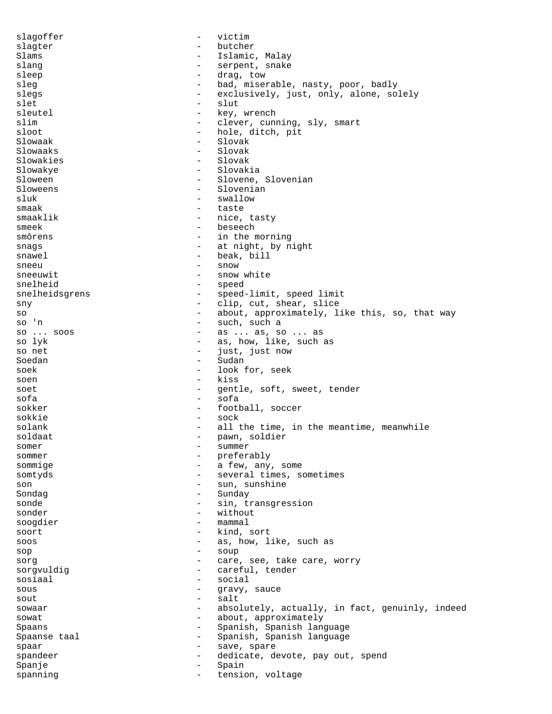slagoffer - victim slagter - butcher Slams - Islamic, Malay slang - serpent, snake sleep - drag, tow sleg - bad, miserable, nasty, poor, badly<br>slegs - exclusively just only alone so slegs  $-$  exclusively, just, only, alone, solely<br>slet  $-$  slut slet - slut sleutel - key, wrench<br>slim - clever, cunn slim  $\begin{array}{ccc} - & \text{clever, cuning, sly, smart} \\ - & \text{hole, ditch, pit} \end{array}$ sloot - hole, ditch, pit<br>Slowaak - Slovak - Slovak Slowaak - Slovak - Slovak - Slovak - Slovak - Slovak - Slovak - Slovak - Slovak - Slovak - Slovak - Slovak - Slovak - Slovak - Slovak - Slovak - Slovak - Slovak - Slovak - Slovak - Slovak - Slovak - Slovak - Slovak - Slova - Slovak Slowakies - Slovak Slowakye - Slovakia Sloween - Slovene, Slovenian Sloweens - Slovenian<br>sluk - Swallow - Swallow - swallow<br>- taste smaak – taste<br>smaaklik – taste smaaklik - nice, tasty smeek – beseech<br>smôrens – in the n - in the morning snags - at night, by night snawel - beak, bill sneeu - snow<br>sneeuwit - snow<br>- snow - snow white snelheid - speed snelheidsgrens - speed-limit, speed limit sny - clip, cut, shear, slice so  $-$  about, approximately, like this, so, that way so 'n  $-$  such, such a so 'n  $-$  such, such a so ... soos  $-$  as ... as, so so ... soos  $-$  as ... as, so ... as<br>so lyk  $-$  as, how, like, such so lyk as, how, like, such as<br>so net - just, just now just, just now Soedan - Sudan - Sudan soek - look for, seek<br>soen - kiss soen  $\overline{\phantom{a}}$  kiss  $\overline{\phantom{a}}$  and  $\overline{\phantom{a}}$  and  $\overline{\phantom{a}}$ soet example and the soft, seed of the soft, sweet, tender sofa - sofa sokker - football, soccer sokkie – sock<br>solank – all t - all the time, in the meantime, meanwhile soldaat - pawn, soldier<br>somer - summer somer - summer sommer - preferably<br>sommige - a few any sommige  $-$  a few, any, some somtyds - several times, sometimes son - sun, sunshine Sondag - Sunday sonde  $-$  sin, transgression sonder - without soogdier - mammal soort - kind, sort soos and as, how, like, such as sop - soup sorg  $-$  care, see, take care, worry<br>sorgyuldig  $-$  careful tender sorgvuldig  $\overline{a}$  - careful, tender sosiaal - social sous - gravy, sauce<br>sout - salt<br>- salt sout - salt sowaar - absolutely, actually, in fact, genuinly, indeed<br>sowat - about approximately sowat - about, approximately Spaans - Spanish, Spanish language Spaanse taal - Spanish, Spanish language spaar - save, spare spandeer - dedicate, devote, pay out, spend Spanje - Spain - Spain spanning extension, voltage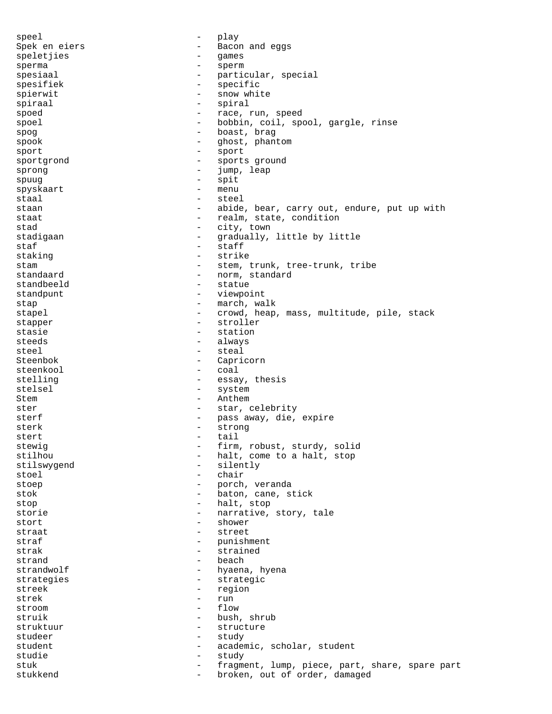speel - play Spek en eiers - - Bacon and eggs speletjies - games sperma - sperm spesiaal - particular, special<br>spesifiek<br>- specific spesifiek - specific spierwit - snow white<br>spiraal - sniraal - sniraal spiraal - spiral spoed - race, run, speed spoel - bobbin, coil, spool, gargle, rinse spog - boast, brag<br>spook - chost phan spook - ghost, phantom<br>sport - sport<br>- sport sport - sport sportgrond  $\qquad \qquad -$  sports ground sprong - jump, leap<br>spuug - spit spuug - spit spyskaart - menu staal – steel<br>staan – steel<br>ahide staan external contract to the abide, bear, carry out, endure, put up with staat  $-$  realm, state, condition stad - city, town stadigaan - gradually, little by little staf - staff staking  $-$  strike stam - stem, trunk, tree-trunk, tribe<br>standaard - norm. standard - norm, standard standbeeld - statue standpunt - viewpoint stap - march, walk stapel - crowd, heap, mass, multitude, pile, stack<br>stapper - stroller stapper - stroller<br>stasie - stroller<br>stasie - station stasie - station<br>staeds - station<br>always steeds - always<br>steel - steal steel - steal Steenbok - Capricorn steenkool - coal stelling  $-$  essay, thesis<br>stelsel  $-$  system - system Stem - Anthem ster - star, celebrity sterf - pass away, die, expire sterk - strong stert - tail stewig  $-$  firm, robust, sturdy, solid<br>stilhou  $-$  halt, come to a halt, stop halt, come to a halt, stop stilswygend - silently stoel - chair stoep - porch, veranda stok - baton, cane, stick stop - halt, stop storie  $-$  narrative, story, tale stort - shower straat - street straf - punishment strak - strained strand - beach<br>strandwolf - hyaena - hyaena - hyaena - hyaena - hyaena - hyaena - hyaena - hyaena - hyaena - hyaena - hyaena - hyaena - hyaena - hyaena - hyaena - hyaena - hyaena - hyaena - hyaena - hyaena - hyaena - hyaen hyaena, hyena strategies - strategic streek - region<br>strek - run strek - run stroom - flow struik - bush, shrub struktuur - structure studeer - study student - academic, scholar, student studie - study - study - study - study - study - study - study - study - study - study - study - study - study fragment, lump, piece, part, share, spare part stukkend - broken, out of order, damaged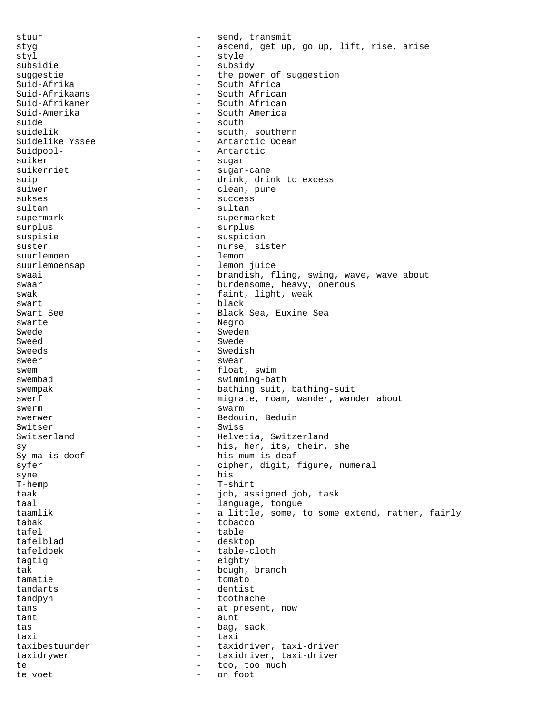stuur - send, transmit styg ascend, get up, go up, lift, rise, arise<br>styl arise arise<br>arise arise styl - style subsidie - subsidy suggestie - the power of suggestion<br>Suid-Afrika - - - - - - - South Africa Suid-Afrika - South Africa<br>Suid-Afrikaans - South African Suid-Afrikaans - South African Suid-Afrikaner - South African<br>Suid-Amerika - South America - South America suide - south - south - south - south - south - south - south suidelik - south, southern<br>Suidelike Yssee - - - Antarctic Ocean - Antarctic Ocean Suidpool-<br>
- Antarctic suiker - sugar suikerriet - sugar-cane suip - drink, drink to excess suiwer - clean, pure<br>sukses - success sukses - success sultan - sultan supermark - supermarket surplus - surplus suspisie - suspicion suster  $-$  nurse, sister<br>suurlemoen  $-$  lemon suurlemoen suurlemoensap - lemon juice swaai  $\qquad \qquad \qquad -$  brandish, fling, swing, wave, wave about swaar - burdensome, heavy, onerous swak  $-$  faint, light, weak swart - black Swart See - Black Sea, Euxine Sea swarte - Negro<br>Swede - Swede Swede - Sweden Sweed - Swede - Swede - Swede - Swede - Swede - Swede - Swede - Swede - Swede - Swede - Swede - Swede - Swede - Swede - Swede - Swede - Swede - Swede - Swede - Swede - Swede - Swede - Swede - Swede - Swede - Swede - Swede - Swedish sweer - swear swem  $-$  float, swim swembad - swimming-bath swempak - bathing suit, bathing-suit swerf - migrate, roam, wander, wander about swerm - swarm - swarm swerwer - Bedouin, Beduin Switser - Swiss Switserland - Helvetia, Switzerland sy  $\begin{array}{ccc} \text{sy} & - & \text{his, her, its, their, she} \\ \text{Sy ma is doof} & - & \text{his mum is deaf} \end{array}$ - his mum is deaf syfer - cipher, digit, figure, numeral syne - his<br>
T-hemp - T-sl - T-shirt<br>- iob as taak  $-$  job, assigned job, task taal  $-$  language, tongue taamlik - a little, some, to some extend, rather, fairly tabak - tobacco<br>tafel - table tafel - table tafelblad - desktop tafeldoek - table-cloth<br>tagtig - eighty tagtig  $-$  eighty<br>tak - bough. tak - bough, branch<br>tamatie - tomato tamatie - tomato tandarts tandpyn - toothache tans  $-$  at present, now  $\tan t = \tan t$ <br> $\tan t = \tan t$ tas  $-$  bag, sack taxi - taxi taxibestuurder - taxidriver, taxi-driver taxidrywer - taxidriver, taxi-driver te  $\sim$  too, too much te voet - on foot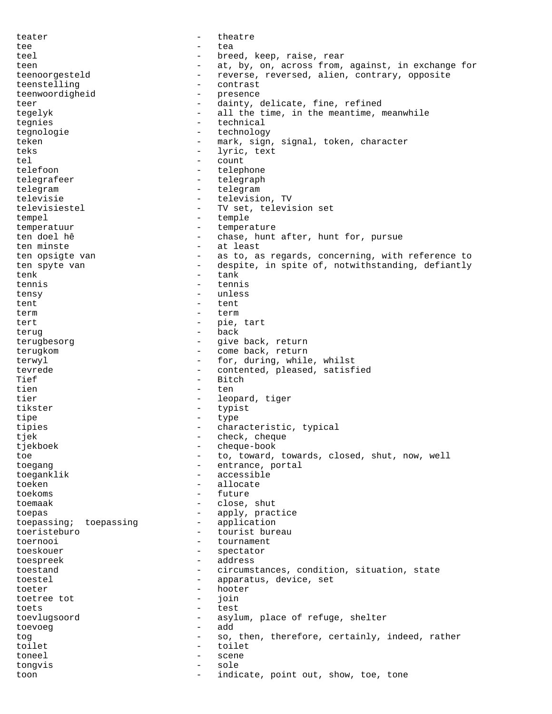teater theatre theatre tee - tea teel - breed, keep, raise, rear<br>teen - at by on across from teen - at, by, on, across from, against, in exchange for teenoorgesteld - reverse, reversed, alien, contrary, opposite teenstelling - contrast teenwoordigheid - presence teer - dainty, delicate, fine, refined tegelyk - all the time, in the meantime, meanwhile<br>tegnies - technical tegnies - technical<br>tegnologie - technology tegnologie - technology teken - mark, sign, signal, token, character<br>
- lyric text<br>
- lyric text teks  $-$  lyric, text tel - count telefoon - telephone telegrafeer - telegraph<br>telegram - telegram - telegraph telegram  $-$  telegram televisie - television, TV<br>televisiestel - TV set televisi televisiestel - TV set, television set<br>
tempel - temple tempel - temple<br>temperatuur - temple temperatuur - temperature - temperature - temperature - temperature - temperature - temperature - temperature chase, hunt after, hunt for, pursue ten minste - at least ten opsigte van - as to, as regards, concerning, with reference to ten spyte van  $\begin{array}{cccc} - & \text{despite, in spite of, notwithstanding, definitely} \\ - & \text{rank} \end{array}$ tenk - tank - tank tennis - tennis tensy - unless tent - tent term term term tert - pie, tart<br>terug - back<br>- back terug - back terugbesorg - give back, return terugkom - come back, return terwyl  $-$  for, during, while, whilst tevrede  $\overline{\phantom{a}}$  - contented, pleased, satisfied<br>Tief Tief - Bitch<br>tien - ten - ten tien en de beste behalfte behalfte behalfte behalfte behalfte behalfte behalfte behalfte behalfte behalfte beh tier - leopard, tiger tikster - typist tipe - type tipies - characteristic, typical tjek - check, cheque<br>tiekhoek - cheque-book tjekboek - cheque-book<br>toe - to toward. toe - to, toward, towards, closed, shut, now, well<br>toecano toegang - entrance, portal<br>toeganklik - accessible toeganklik - accessible - accessible - accessible - accessible - accessible - accessible - accessible - accessible toeken - allocate<br>toekems - future toekoms - future<br>toemaak - close toemaak - close, shut toepas - apply, practice toepassing; toepassing - application toeristeburo - tourist bureau toernooi - tournament toeskouer - spectator toespreek - address<br>toestand - circums: toestand  $\overline{\phantom{a}}$  - circumstances, condition, situation, state<br>toestel  $\overline{\phantom{a}}$  - apparatus, device, set toestel - apparatus, device, set<br>
toeter - hoter<br>
- hoter toeter - hooter<br>toetree tot - ioin toetree tot - join toets - test toevlugsoord - asylum, place of refuge, shelter<br>toevoeg - add toevoeg and add and add toevoeg and add and add and add and add and add and add and add and add and add and add tog entirely contained to the so, then, therefore, certainly, indeed, rather toilet - toilet toneel - scene tongvis - sole toon  $\qquad \qquad -$  indicate, point out, show, toe, tone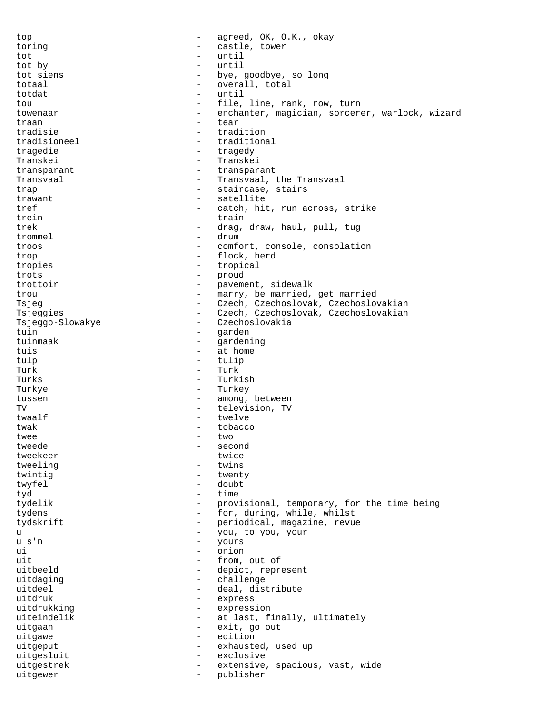top - agreed, OK, O.K., okay toring  $\qquad \qquad -$  castle, tower tot - until tot by - until tot siens  $-$  bye, goodbye, so long totaal - overall, total<br>
totdat - until totdat - until<br>
tou - file tou - file, line, rank, row, turn towenaar - enchanter, magician, sorcerer, warlock, wizard<br>traan - tear<br>- tear traan - tear tradisie - tradition tradisioneel - traditional tragedie  $\qquad \qquad -$  tragedy Transkei - Transkei transparant - transparant Transvaal **1988** - Transvaal, the Transvaal trap  $\qquad \qquad$  - staircase, stairs trawant - satellite<br>
tref - catch hi tref - catch, hit, run across, strike<br>
- train trein - train<br>trek - drag trek - drag, draw, haul, pull, tug<br>
- drum - drum trommel - drum<br>troos - comf troos - comfort, console, consolation trop - flock, herd tropies - tropical<br>trots - tropical<br>- proud trots - proud trottoir and the pavement, sidewalk trou  $-$  marry, be married, get married Tsjeg - Czech, Czechoslovak, Czechoslovakian Tsjeggies - Czech, Czechoslovak, Czechoslovakian<br>Tsjeggo-Slowakye - Czechoslovakia Tsjeggo-Slowakye - Czechoslovakia - Czechoslovakia - Czechoslovakia - Czechoslovakia - Czechoslovakia - Czechoslovakia - Czechoslovakia - Czechoslovakia - Czechoslovakia - Czechoslovakia - Czechoslovakia - Czechoslovakia tuin - garden - garden - garden - garden - garden - garden - garden - garden - garden - garden - garden - garden - garden - garden - garden - garden - garden - garden - garden - garden - garden - garden - garden - garden gardening tuis  $-$  at home tulp  $\qquad \qquad$  - tulip Turk - Turk - Turk Turks - Turkish Turkye - Turkey tussen - among, between TV - television, TV twaalf  $\qquad \qquad -$  twelve twak  $-$  tobacco twee  $-$  two tweede - second<br>tweekeer - twice tweekeer - twice<br>tweeling - twins tweeling - twins twintig  $\frac{1}{2}$ twyfel - doubt<br>tyd - time tyd - time tydelik - provisional, temporary, for the time being tydens  $\qquad \qquad -$  for, during, while, whilst tydskrift - periodical, magazine, revue<br>
- you, to you, your u - you, to you, your u s'n <br/> - yours + yours + yours + yours + yours + yours + yours + yours + yours + yours + yours + yours + yours + yours + yours + yours + yours + yours + yours + yours + yours + yours + yours + yours + yours + yours + ui - onion uit  $\begin{array}{ccc}\n\text{uit} & - & \text{from, out of} \\
\text{uit} & - & \text{denict} & \text{renr}\n\end{array}$ uitbeeld - depict, represent<br>uitdaging - challenge uitdaging - challenge - deal, distribute<br>- express uitdruk - express<br>uitdrukking - express uitdrukking expression uiteindelik - at last, finally, ultimately<br>uitgaan - exit. go out uitgaan - exit, go out uitgawe - edition uitgeput - exhausted, used up uitgesluit - exclusive uitgestrek - extensive, spacious, vast, wide uitgewer - publisher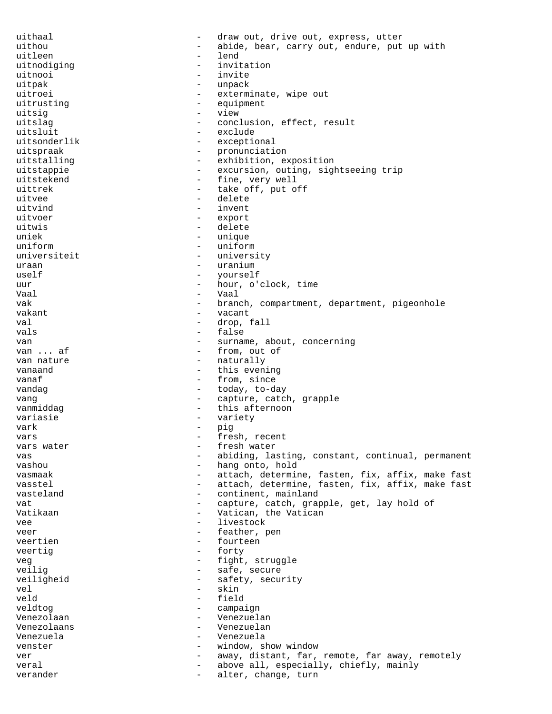uithaal - draw out, drive out, express, utter uithou and the state of the solution of the abide, bear, carry out, endure, put up with uitleen - lend uitnodiging extension to the invitation uitnooi - invite uitpak - unpack<br>uitroei - exterm uitroei - exterminate, wipe out<br>uitrusting - equipment equipment uitsig - view uitslag  $\qquad \qquad - \qquad \qquad \text{conclusion, effect, result}$ uitsluit - exclude uitsonderlik - exceptional uitspraak - pronunciation uitstalling  $-$  exhibition, exposition uitstappie - excursion, outing, sightseeing trip uitstekend - fine, very well uittrek  $-$  take off, put off uitvee - delete uitvind - invent<br>uitvoer - export uitvoer - export uitwis - delete<br>uniek - uniek - unique - unique uniform  $-$  uniform universiteit - university uraan - uranium - uranium uself - yourself uur - hour, o'clock, time Vaal - Vaal - Vaal - Vaal - Vaal - Vaal - Vaal - Vaal - Vaal - Vaal - Vaal - Vaal - Vaal - Vaal - Vaal - Vaal - Vaal - Vaal - Vaal - Vaal - Vaal - Vaal - Vaal - Vaal - Vaal - Vaal - Vaal - Vaal - Vaal - Vaal - Vaal - Vaal vak  $-$  branch, compartment, department, pigeonhole vakant - vacant val  $\qquad \qquad -$  drop, fall vals - false van - surname, about, concerning - from, out of van nature  $\qquad \qquad$  - naturally vanaand  $-$  this evening vanaf  $\overline{\phantom{a}}$  - from, since vandag  $\qquad \qquad -$  today, to-day vang  $\qquad \qquad -$  capture, catch, grapple vanmiddag - this afternoon<br>variasie - variety variasie - variety vark - pig vars  $-$  fresh, recent vars water  $-$  fresh water vas external variation of the abiding, lasting, constant, continual, permanent vashou  $-$  hang onto, hold vasmaak - attach, determine, fasten, fix, affix, make fast<br>vasstel - attach, determine, fasten, fix, affix, make fast - attach, determine, fasten, fix, affix, make fast vasteland  $\qquad \qquad -$  continent, mainland vat  $-$  capture, catch, grapple, get, lay hold of Vatikaan - Vatican, the Vatican vee - livestock veer - feather, pen veertien - fourteen<br>veertig - forty<br>- forty veertig  $\overline{ }$ veg - fight, struggle - safe, secure veiligheid - safety, security vel - skin veld - field veldtog  $-$  campaign Venezolaan - Venezuelan - Venezuelan - Venezuelan - Venezuelan - Venezuelan - Venezuelan - Venezuelan - Venezuelan - Venezuelan - Venezuelan - Venezuelan - Venezuelan - Venezuelan - Venezuelan - Venezuelan - Venezuelan - V Venezolaans - Venezuelan Venezuela - Venezuela venster  $-$  window, show window ver external vertex way, distant, far, remote, far away, remotely veral  $-$  above all, especially, chiefly, mainly verander alter, change, turn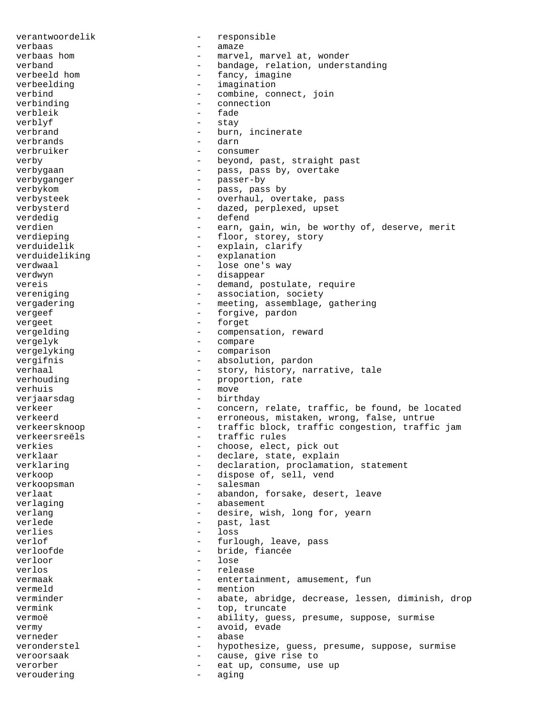verantwoordelik - responsible verbaas - amaze verbaas hom and the marvel, marvel at, wonder verband - bandage, relation, understanding<br>verbeeld hom - fancy, imagine - fancy, imagine<br>- imagination verbeelding  $\overline{a}$  - imagination<br>verbind - combine col verbind<br>
verbinding<br>
verbinding<br>
aconnection<br>
connection verbinding  $\qquad \qquad -$  connection  $verbleik$  - fade<br>  $verhlyf$  - stay verblyf - stay - burn, incinerate<br>- darn verbrands - darn verbruiker - consumer verby  $-$  beyond, past, straight past verbygaan - pass, pass by, overtake<br>verbyganger - passer-by verbyganger - passer-by<br>verbykom - passer-by verbykom - pass, pass by verbysteek - overhaul, overtake, pass verbysterd - dazed, perplexed, upset<br>verdedig<br>- defend<br>- defend verdedig the contract of the contract of the contract of the contract of the contract of the contract of the contract of the contract of the contract of the contract of the contract of the contract of the contract of the c verdien - earn, gain, win, be worthy of, deserve, merit<br>verdieping - floor, storey, story - floor, storey, story verduidelik - explain, clarify verduideliking - explanation verdwaal - lose one's way<br>
verdwyn - lose one's way<br>
- disappear - disappear vereis  $-$  demand, postulate, require vereniging  $-$  association, society vergadering  $-$  meeting, assemblage, gathering vergeef - forgive, pardon<br>vergeet - forget - forget vergeet - forget<br>vergelding - compens vergelding  $\qquad -$  compensation, reward vergelyk - compare vergelyking - comparison vergifnis - absolution, pardon verhaal - story, history, narrative, tale<br>
verhouding - proportion, rate - proportion, rate verhuis - move verjaarsdag <br/> - birthday - birthday verkeer - concern, relate, traffic, be found, be located verkeerd **come contract of the extending of the erroneous**, mistaken, wrong, false, untrue verkeersknoop - traffic block, traffic congestion, traffic jam verkeersreëls - traffic rules verkies - choose, elect, pick out verklaar - declare, state, explain verklaring extending the contraction, proclamation, statement verkoop - dispose of, sell, vend verkoopsman - salesman - salesman verlaat - abandon, forsake, desert, leave verlaging - abasement verlang  $\qquad \qquad$  - desire, wish, long for, yearn verlede  $-$  past, last verlies - loss verlof  $-$  furlough, leave, pass verloofde - bride, fiancée<br>
verloor - lose<br>
- lose verloor - lose verlos - release vermaak - entertainment, amusement, fun vermeld - mention verminder - abate, abridge, decrease, lessen, diminish, drop vermink - top, truncate vermoë - ability, guess, presume, suppose, surmise<br>
- avoid evade vermy  $-$  avoid, evade verneder - abase veronderstel - hypothesize, guess, presume, suppose, surmise<br>veroorsaak - cause give rise to veroorsaak - cause, give rise to verorber - eat up, consume, use up veroudering  $-$  aging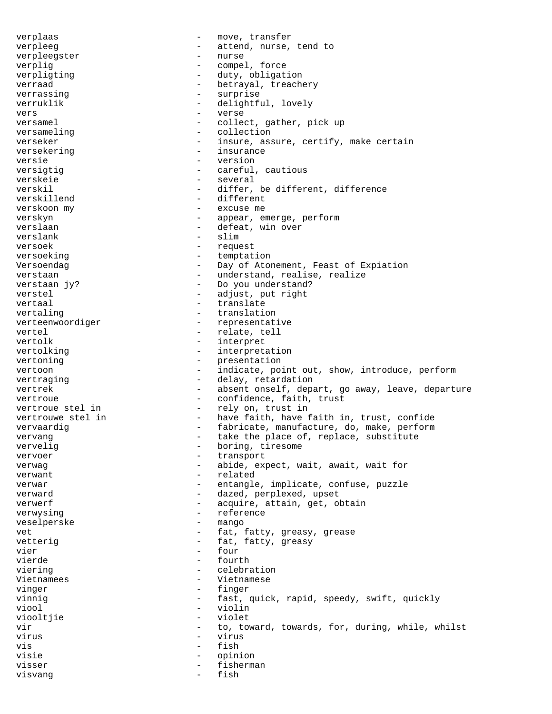verplaas - move, transfer verpleeg - attend, nurse, tend to<br>verpleegster - nurse - nurse verpleegster verplig  $\qquad \qquad -$  compel, force verpligting  $\qquad \qquad -$  duty, obligation verraad - betrayal, treachery verrassing - surprise<br>verrublik - delightfu verruklik - delightful, lovely<br>
- verse vers - verse versamel - collect, gather, pick up versameling - collection<br>verseker - insure as - insure, assure, certify, make certain versekering extension of the insurance versie - version versigtig  $-$  careful, cautious verskeie - several verskil  $-$  differ, be different, difference verskillend - different<br>verskoon my - excuse me verskoon my excuse me verskyn - appear, emerge, perform verslaan - defeat, win over verslank - slim versoek - request versoeking extension temptation Versoendag **-** Day of Atonement, Feast of Expiation verstaan - verstaan - understand, realise, realize verstaan jy? - Do you understand? verstel - adjust, put right vertaal - translate vertaling  $-$  translation verteenwoordiger - representative vertel - relate, tell vertolk - interpret vertolking  $-$  interpretation vertoning  $\overline{\phantom{a}}$  - presentation vertoon - indicate, point out, show, introduce, perform vertraging  $-$  delay, retardation vertrek - absent onself, depart, go away, leave, departure vertroue  $\qquad \qquad -$  confidence, faith, trust vertroue stel in  $-$  rely on, trust in vertrouwe stel in  $-$  have faith, have faith in, trust, confide vervaardig entitled vervaardig to the state of the fabricate, manufacture, do, make, perform vervang  $\qquad -$  take the place of, replace, substitute<br>vervelig vervelig  $-$  boring, tiresome<br>vervoer  $-$  transport vervoer - transport verwag expect, wait, await, wait for verwant - related<br>verwar - entangle verwar - entangle, implicate, confuse, puzzle verward  $\qquad \qquad -$  dazed, perplexed, upset verwerf - acquire, attain, get, obtain verwysing  $-$  reference veselperske - mango vet external versus of the state of the fat, fatty, greasy, grease vetterig  $-$  fat, fatty, greasy vier - four vierde - fourth<br>viering - celebra viering - celebration<br>Vietnamees - vietnamese Vietnamees **Vietnamese** vinger en anders ander the finger vinnig  $-$  fast, quick, rapid, speedy, swift, quickly<br>viool  $-$  violin viool - violin<br>viooltiie - violet viooltjie - violet vir  $-$  to, toward, towards, for, during, while, whilst virus - virus - virus vis - fish visie - opinion visser - fisherman visvang <br/> - fish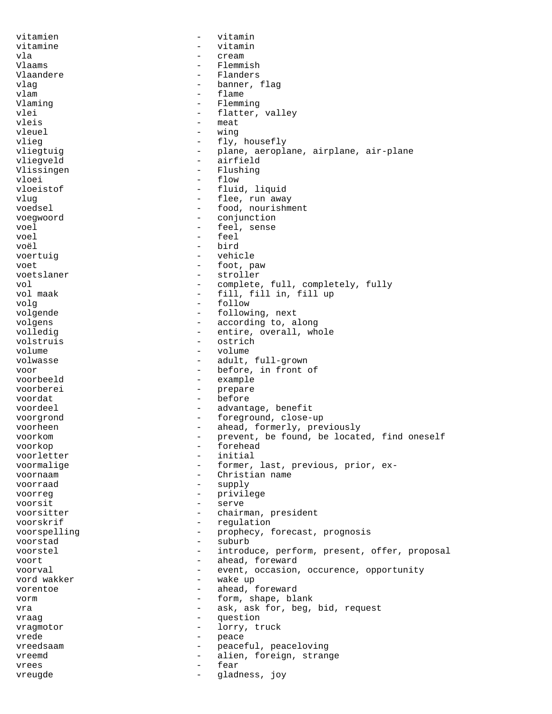vitamien - vitamin vitamine - vitamin vla - cream Vlaams - Flemmish Vlaandere 1986 vlaanders 1986 vlaanders 1987 vlaanders 1988 vlaanders 1988 vlaanders 1988 vlaanders 1988 vlaanders vlag - banner, flag<br>
vlam - flame<br>
- flame vlam - flame - flame - flame - flame - flame - flame - flame - flame - flame - flame - flame - flame - flame -Vlaming  $\begin{array}{ccc} - & - & - \\ - & - & 1 \end{array}$  Flemming - flatter, valley vleis – meat<br>vleuel – wing vleuel - wing vlieg  $-$  fly, housefly vliegtuig  $-$  plane, aeroplane, airplane, air-plane vliegveld - airfield Vlissingen - Flushing vloei - flow vloeistof - fluid, liquid vlug  $\qquad \qquad -$  flee, run away voedsel - food, nourishment voegwoord - conjunction voel - feel, sense<br>voel - feel, sense voel - feel voël - bird voertuig en vehicle by the vehicle voet - foot, paw voetslaner - stroller vol - complete, full, completely, fully - fill, fill in, fill up volg - follow volgende  $\qquad \qquad -$  following, next volgens - according to, along<br>volledig - entire, overall, wh - entire, overall, whole volstruis - ostrich<br>volume - volume - volume volume - volume volwasse  $\qquad \qquad -$  adult, full-grown voor - before, in front of<br>voorbeeld - example - example voorberei - prepare voordat - before voordeel - advantage, benefit voorgrond - foreground, close-up voorheen - ahead, formerly, previously voorkom - prevent, be found, be located, find oneself voorkop - forehead voorletter - initial voormalige  $-$  former, last, previous, prior, exvoornaam - Christian name voorraad - supply voorreg - privilege voorsit - serve voorsitter - chairman, president voorskrif - regulation voorspelling - prophecy, forecast, prognosis<br>voorstad - suburb voorstad - suburb voorstel - introduce, perform, present, offer, proposal<br>voort - ahead foreward voort - ahead, foreward<br>voorval - event, occasion voorval - event, occasion, occurence, opportunity<br>vord wakker - wake up - wake up vorentoe - ahead, foreward vorm <br/> - form, shape, blank vra  $-$  ask, ask for, beg, bid, request vraag - question vragmotor - lorry, truck vrede - peace<br>vreedsaam - peace - peace vreedsaam - peaceful, peaceloving vreemd - alien, foreign, strange vrees - fear vreugde - gladness, joy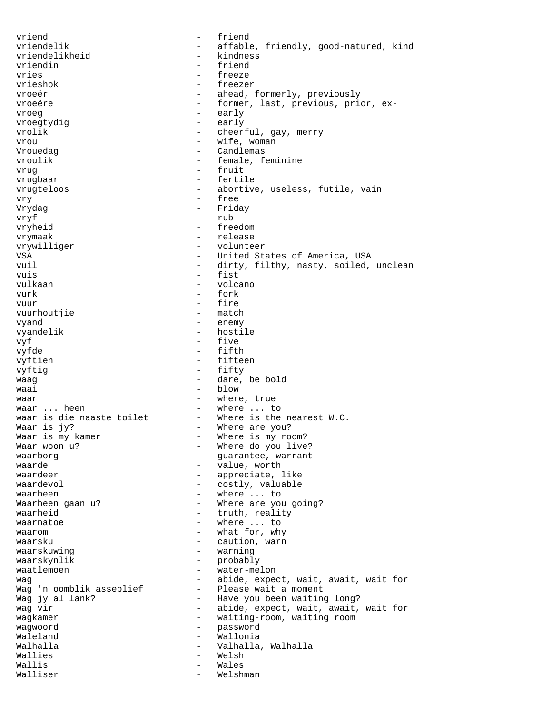vriend - friend vriendelik - affable, friendly, good-natured, kind<br>vriendelikheid - kindness vriendelikheid vriendin - friend vries - freeze - freezer vroeër - ahead, formerly, previously vroeëre en een vroeëre en een vroeëre exvroeg - early vroegtydig vrolik - cheerful, gay, merry vrou  $-$  wife, woman Vrouedag - Candlemas vroulik - female, feminine vrug - fruit - fertile vrugteloos **abortive**, useless, futile, vain vry - free Vrydag - Friday vryf – rub<br>vryheid – free - freedom vrymaak - release vrywilliger - volunteer VSA - United States of America, USA<br>
vuil - dirty, filthy, nasty, soiled. - dirty, filthy, nasty, soiled, unclean vuis et al. et al. et al. et al. et al. et al. et al. et al. et al. et al. et al. et al. et al. et al. et al. e vulkaan - volcano vurk - fork vuur - fire<br>vuurhoutiie - match vuurhoutjie vyand - enemy vyandelik - hostile vyf - five vyfde - fifth - fifteen vyftig - fifty waaq is a meer waaq is a meer waaq is a meer waaq is a meer waaq is a meer waaq is a meer waaq is a meer waaq waai - blow waar - where, true waar ... heen<br>waar is die naaste toilet - Where is the nearest W.C. waar is die naaste toilet<br>Waar is jy? Waar is jy?<br>Waar is my kamer and the section of the where is my row Waar is my kamer  $W = W + W$  where is my room?<br>Waar woon u?  $W = W + W + W$ - Where do you live? waarborg extensive variable variant waarborg variable variable variable variable variable variable variable va  $\begin{array}{ccc}\n\text{waarde} & \text{waaarde} \\
\text{waarde} & \text{waaarde} \\
\end{array}$ - appreciate, like waardevol - costly, valuable - where ... to Waarheen gaan u?  $-$  Where are you going? waarheid - truth, reality waarnatoe  $\qquad \qquad \qquad -$  where ... to waarom  $-$  what for, why waarsku - caution, warn waarskuwing extension of the warning warning waarskynlik - probably<br>waatlemoen - water-me waatlemoen - water-melon wag<br>Wag 'n oomblik asseblief - abide, expect, wait, await, wait for<br>Please wait a moment - Please wait a moment Wag jy al lank?  $-$  Have you been waiting long? wag vir  $-$  abide, expect, wait, await, wait for wagkamer - waiting-room, waiting room wagwoord - password Waleland - Wallonia Walhalla - Valhalla, Walhalla Wallies **- Wellies** Wallis - Wales Walliser - Welshman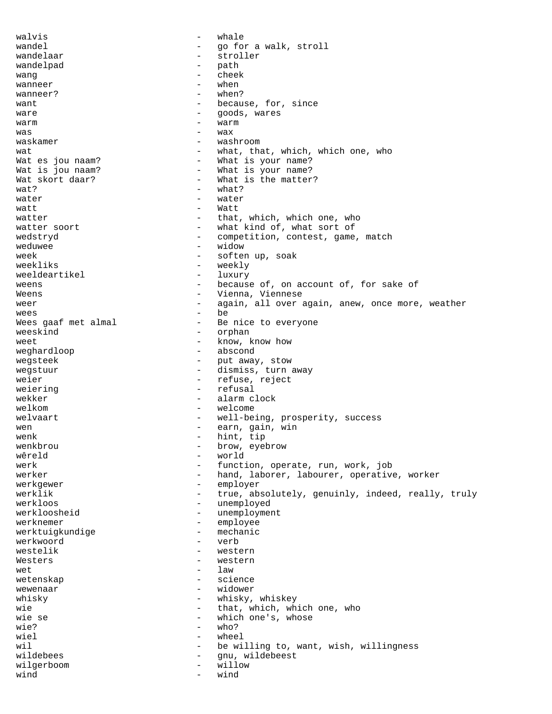walvis - whale wandel  $\qquad \qquad$  - go for a walk, stroll wandelaar - stroller wandelpad - pathwandelpad - pathwandelpad - pathwandelpad - pathwandelpad - pathwandelpad - pathwandelpad - pathwandelpad - pathwandelpad - pathwandelpad - pathwandelpad - pathwandelpad - pathwandelpad - pathwandelpad - pa wang  $-$  cheek  $w$ anneer  $w$ <sup>-</sup> when wanneer? - when? want  $\qquad \qquad -$  because, for, since ware  $\qquad \qquad -$  goods, wares  $\begin{array}{cccc}\n&-\n&\text{warm}\n\end{array}$ was - wax - washroom wat  $-$  what, that, which, which one, who Wat es jou naam?  $-$  What is your name? Wat is jou naam? The measure of the What is your name? Wat skort daar? - What is the matter?  $\text{wat?}$  - what? water  $-$  water  $\mathsf{watt}$   $\qquad \qquad \mathsf{watt}$ watter  $\begin{array}{cccc} - &$  that, which, which one, who watter soort  $\begin{array}{cccc} - &$  what kind of, what sort of - what kind of, what sort of wedstryd  $-$  competition, contest, game, match weduwee - widow week - soften up, soak weekliks - weekly weeldeartikel weens  $\qquad \qquad -$  because of, on account of, for sake of Weens  $-$  Vienna, Viennese weer - again, all over again, anew, once more, weather<br>wees - be wees - be Wees gaaf met almal - Be nice to everyone<br>weeskind - orphan weeskind - orphan weet - know, know how - abscond wegsteek - put away, stow wegstuur - dismiss, turn away weier - refuse, reject weiering  $-$  refusal wekker - alarm clock welkom  $-$  welcome welvaart - well-being, prosperity, success wen  $-$  earn, gain, win wenk - hint, tip<br>wenkhrou - hrow evel wenkbrou - brow, eyebrow<br>wâreld - world wêreld - world werk - function, operate, run, work, job<br>
- hand, laborer, labourer, operative - hand, laborer, labourer, operative, worker werkgewer - employer - employer<br>werklik - true ab - true, absolutely, genuinly, indeed, really, truly werkloos - unemployed werkloosheid - unemployment werknemer - employee<br>werktuigkundige - - employee<br>- mechanic werktuigkundige werkwoord - verb westelik - western<br>Western - western - western Westers - western<br>wet - law wet  $-$  law wetenskap - science wewenaar  $-$  widower whisky  $-$  whisky, whiskey wie  $-$  that, which, which one, who wie se  $-$  which one's, whose  $wie?$  - who? wiel  $-$  wheel wil  $-$  be willing to, want, wish, willingness<br>wildebees  $-$  gnu, wildebeest - gnu, wildebeest wilgerboom - willow wind  $-$  wind